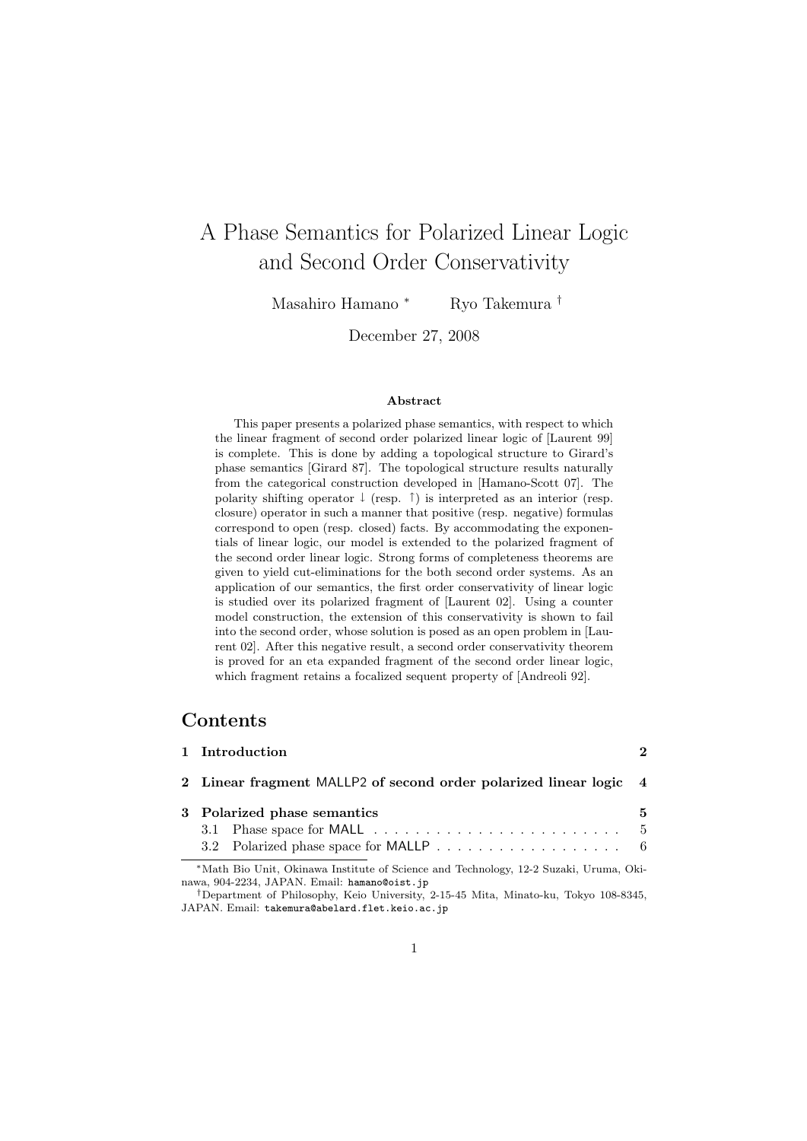# A Phase Semantics for Polarized Linear Logic and Second Order Conservativity

Masahiro Hamano *<sup>∗</sup>* Ryo Takemura *†*

December 27, 2008

#### **Abstract**

This paper presents a polarized phase semantics, with respect to which the linear fragment of second order polarized linear logic of [Laurent 99] is complete. This is done by adding a topological structure to Girard's phase semantics [Girard 87]. The topological structure results naturally from the categorical construction developed in [Hamano-Scott 07]. The polarity shifting operator *↓* (resp. *↑*) is interpreted as an interior (resp. closure) operator in such a manner that positive (resp. negative) formulas correspond to open (resp. closed) facts. By accommodating the exponentials of linear logic, our model is extended to the polarized fragment of the second order linear logic. Strong forms of completeness theorems are given to yield cut-eliminations for the both second order systems. As an application of our semantics, the first order conservativity of linear logic is studied over its polarized fragment of [Laurent 02]. Using a counter model construction, the extension of this conservativity is shown to fail into the second order, whose solution is posed as an open problem in [Laurent 02]. After this negative result, a second order conservativity theorem is proved for an eta expanded fragment of the second order linear logic, which fragment retains a focalized sequent property of [Andreoli 92].

# **Contents**

| 1 Introduction                                                                                                                        | $\mathcal{D}$ |  |  |  |  |  |  |  |
|---------------------------------------------------------------------------------------------------------------------------------------|---------------|--|--|--|--|--|--|--|
| 2 Linear fragment MALLP2 of second order polarized linear logic 4                                                                     |               |  |  |  |  |  |  |  |
| 3 Polarized phase semantics                                                                                                           | 5             |  |  |  |  |  |  |  |
| 3.1 Phase space for MALL $\ldots \ldots \ldots \ldots \ldots \ldots \ldots \ldots$                                                    |               |  |  |  |  |  |  |  |
|                                                                                                                                       |               |  |  |  |  |  |  |  |
| *Math Bio Unit, Okinawa Institute of Science and Technology, 12-2 Suzaki, Uruma, Oki-<br>nawa, 904-2234, JAPAN. Email: hamano@oist.jp |               |  |  |  |  |  |  |  |

*<sup>†</sup>*Department of Philosophy, Keio University, 2-15-45 Mita, Minato-ku, Tokyo 108-8345, JAPAN. Email: takemura@abelard.flet.keio.ac.jp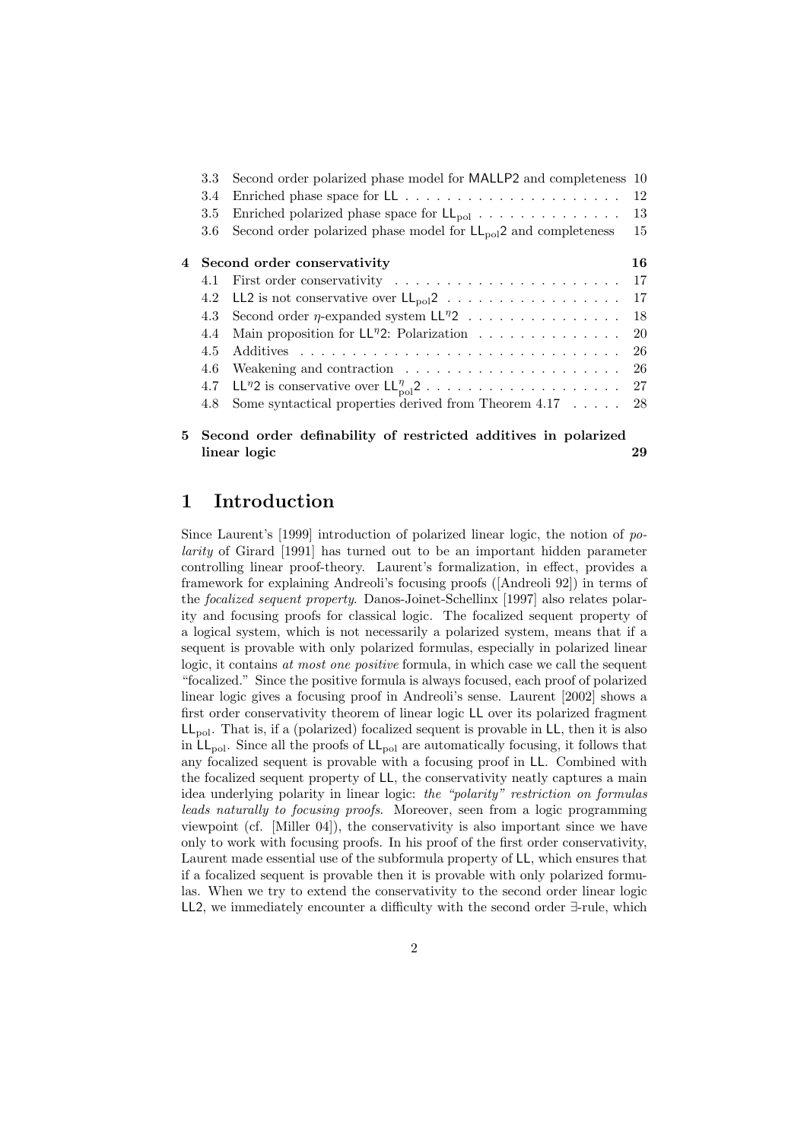| 3.3 | Second order polarized phase model for MALLP2 and completeness 10         |    |
|-----|---------------------------------------------------------------------------|----|
| 3.4 |                                                                           | 12 |
| 3.5 | Enriched polarized phase space for $LL_{pol} \ldots \ldots \ldots \ldots$ | 13 |
| 3.6 | Second order polarized phase model for $LL_{pol}2$ and completeness       | 15 |
|     | 4 Second order conservativity                                             | 16 |
| 4.1 |                                                                           | 17 |
|     | 4.2 LL2 is not conservative over $LL_{pol}2$                              | 17 |
| 4.3 | Second order $\eta\text{-expanded system LL}{}^\eta 2$                    | 18 |
| 4.4 | Main proposition for $LL^{\eta}2$ : Polarization                          | 20 |
| 4.5 |                                                                           | 26 |
| 4.6 |                                                                           | 26 |
| 4.7 |                                                                           |    |
| 4.8 | Some syntactical properties derived from Theorem $4.17 \ldots$ .          | 28 |
|     | 5 Second order definability of restricted additives in polarized          |    |

**linear logic 29**

# **1 Introduction**

Since Laurent's [1999] introduction of polarized linear logic, the notion of *polarity* of Girard [1991] has turned out to be an important hidden parameter controlling linear proof-theory. Laurent's formalization, in effect, provides a framework for explaining Andreoli's focusing proofs ([Andreoli 92]) in terms of the *focalized sequent property*. Danos-Joinet-Schellinx [1997] also relates polarity and focusing proofs for classical logic. The focalized sequent property of a logical system, which is not necessarily a polarized system, means that if a sequent is provable with only polarized formulas, especially in polarized linear logic, it contains *at most one positive* formula, in which case we call the sequent "focalized." Since the positive formula is always focused, each proof of polarized linear logic gives a focusing proof in Andreoli's sense. Laurent [2002] shows a first order conservativity theorem of linear logic LL over its polarized fragment  $LL_{pol}$ . That is, if a (polarized) focalized sequent is provable in  $LL$ , then it is also in  $LL_{pol}$ . Since all the proofs of  $LL_{pol}$  are automatically focusing, it follows that any focalized sequent is provable with a focusing proof in LL. Combined with the focalized sequent property of LL, the conservativity neatly captures a main idea underlying polarity in linear logic: *the "polarity" restriction on formulas leads naturally to focusing proofs*. Moreover, seen from a logic programming viewpoint (cf. [Miller 04]), the conservativity is also important since we have only to work with focusing proofs. In his proof of the first order conservativity, Laurent made essential use of the subformula property of LL, which ensures that if a focalized sequent is provable then it is provable with only polarized formulas. When we try to extend the conservativity to the second order linear logic LL2, we immediately encounter a difficulty with the second order *∃*-rule, which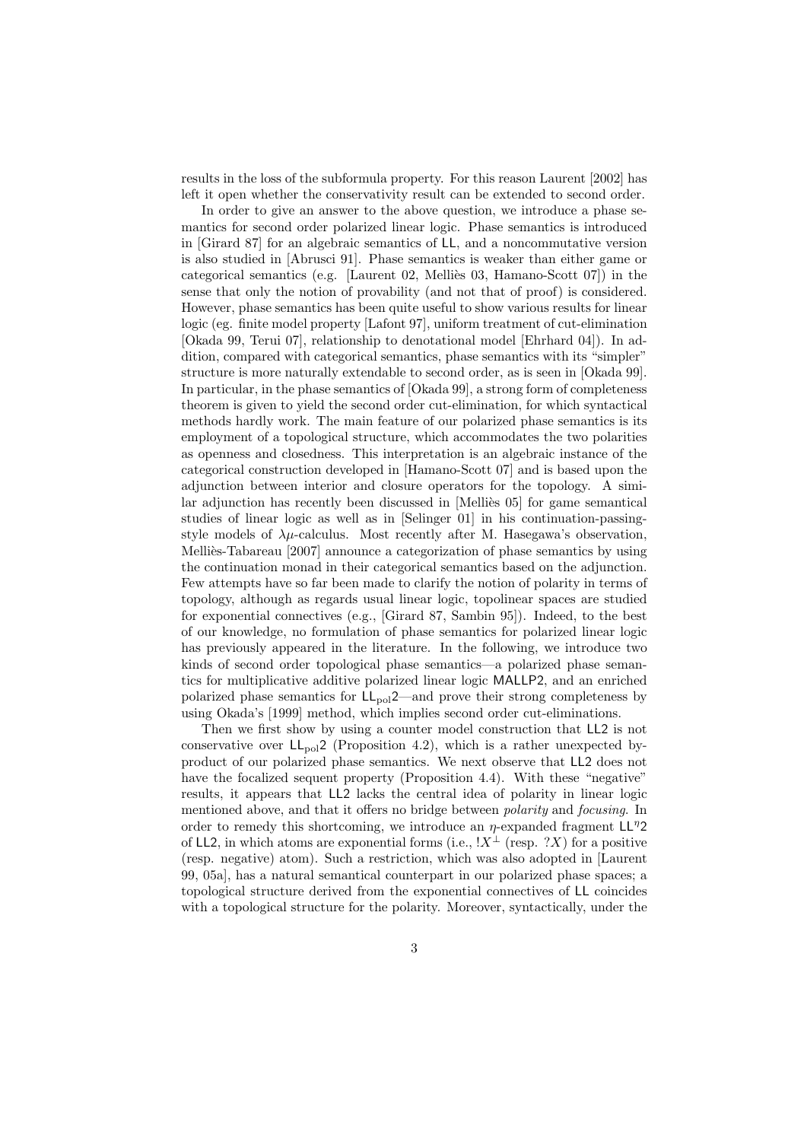results in the loss of the subformula property. For this reason Laurent [2002] has left it open whether the conservativity result can be extended to second order.

In order to give an answer to the above question, we introduce a phase semantics for second order polarized linear logic. Phase semantics is introduced in [Girard 87] for an algebraic semantics of LL, and a noncommutative version is also studied in [Abrusci 91]. Phase semantics is weaker than either game or categorical semantics (e.g. [Laurent 02, Melliès 03, Hamano-Scott 07]) in the sense that only the notion of provability (and not that of proof) is considered. However, phase semantics has been quite useful to show various results for linear logic (eg. finite model property [Lafont 97], uniform treatment of cut-elimination [Okada 99, Terui 07], relationship to denotational model [Ehrhard 04]). In addition, compared with categorical semantics, phase semantics with its "simpler" structure is more naturally extendable to second order, as is seen in [Okada 99]. In particular, in the phase semantics of [Okada 99], a strong form of completeness theorem is given to yield the second order cut-elimination, for which syntactical methods hardly work. The main feature of our polarized phase semantics is its employment of a topological structure, which accommodates the two polarities as openness and closedness. This interpretation is an algebraic instance of the categorical construction developed in [Hamano-Scott 07] and is based upon the adjunction between interior and closure operators for the topology. A similar adjunction has recently been discussed in  $[Mellieq 65]$  for game semantical studies of linear logic as well as in [Selinger 01] in his continuation-passingstyle models of  $\lambda \mu$ -calculus. Most recently after M. Hasegawa's observation, Melliès-Tabareau [2007] announce a categorization of phase semantics by using the continuation monad in their categorical semantics based on the adjunction. Few attempts have so far been made to clarify the notion of polarity in terms of topology, although as regards usual linear logic, topolinear spaces are studied for exponential connectives (e.g., [Girard 87, Sambin 95]). Indeed, to the best of our knowledge, no formulation of phase semantics for polarized linear logic has previously appeared in the literature. In the following, we introduce two kinds of second order topological phase semantics—a polarized phase semantics for multiplicative additive polarized linear logic MALLP2, and an enriched polarized phase semantics for  $LL_{pol}2$ —and prove their strong completeness by using Okada's [1999] method, which implies second order cut-eliminations.

Then we first show by using a counter model construction that LL2 is not conservative over  $LL_{pol}2$  (Proposition 4.2), which is a rather unexpected byproduct of our polarized phase semantics. We next observe that LL2 does not have the focalized sequent property (Proposition 4.4). With these "negative" results, it appears that LL2 lacks the central idea of polarity in linear logic mentioned above, and that it offers no bridge between *polarity* and *focusing*. In order to remedy this shortcoming, we introduce an *η*-expanded fragment LL*<sup>η</sup>*2 of LL2, in which atoms are exponential forms (i.e.,  $\mathbb{I}X^{\perp}$  (resp. ?*X*) for a positive (resp. negative) atom). Such a restriction, which was also adopted in [Laurent 99, 05a], has a natural semantical counterpart in our polarized phase spaces; a topological structure derived from the exponential connectives of LL coincides with a topological structure for the polarity. Moreover, syntactically, under the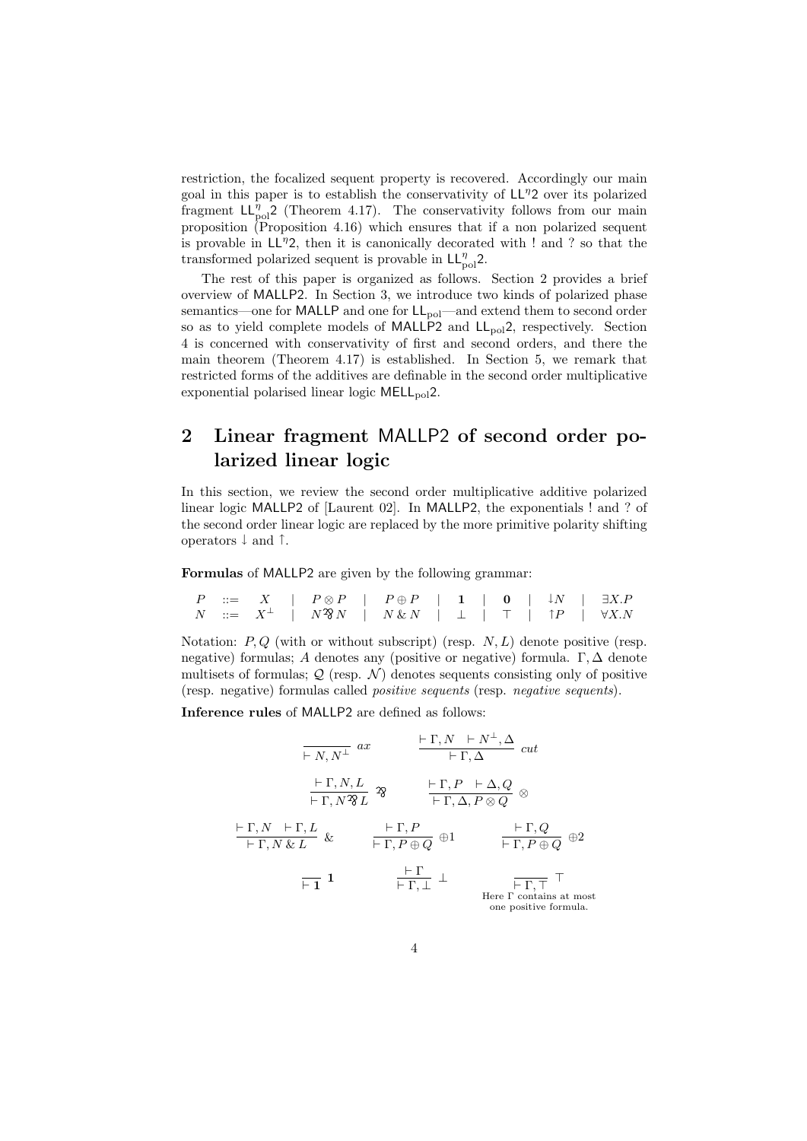restriction, the focalized sequent property is recovered. Accordingly our main goal in this paper is to establish the conservativity of LL*<sup>η</sup>*2 over its polarized fragment  $LL_{pol}^{\eta}2$  (Theorem 4.17). The conservativity follows from our main proposition (Proposition 4.16) which ensures that if a non polarized sequent is provable in LL*<sup>η</sup>*2, then it is canonically decorated with ! and ? so that the transformed polarized sequent is provable in  $LL_{pol}^{\eta}$ 2.

The rest of this paper is organized as follows. Section 2 provides a brief overview of MALLP2. In Section 3, we introduce two kinds of polarized phase semantics—one for MALLP and one for  $LL_{pol}$ —and extend them to second order so as to yield complete models of MALLP2 and  $LL_{pol}2$ , respectively. Section 4 is concerned with conservativity of first and second orders, and there the main theorem (Theorem 4.17) is established. In Section 5, we remark that restricted forms of the additives are definable in the second order multiplicative exponential polarised linear logic MELL<sub>pol</sub>2.

# **2 Linear fragment** MALLP2 **of second order polarized linear logic**

In this section, we review the second order multiplicative additive polarized linear logic MALLP2 of [Laurent 02]. In MALLP2, the exponentials ! and ? of the second order linear logic are replaced by the more primitive polarity shifting operators *↓* and *↑*.

**Formulas** of MALLP2 are given by the following grammar:

|  |  |  | $P \quad ::= \quad X \quad   \quad P \otimes P \quad   \quad P \oplus P \quad   \quad 1 \quad   \quad \mathbf{0} \quad   \quad \downarrow N \quad   \quad \exists X.P$ |  |  |  |  |
|--|--|--|------------------------------------------------------------------------------------------------------------------------------------------------------------------------|--|--|--|--|
|  |  |  |                                                                                                                                                                        |  |  |  |  |

Notation: *P, Q* (with or without subscript) (resp. *N, L*) denote positive (resp. negative) formulas; *A* denotes any (positive or negative) formula. Γ*,* ∆ denote multisets of formulas;  $Q$  (resp.  $N$ ) denotes sequents consisting only of positive (resp. negative) formulas called *positive sequents* (resp. *negative sequents*).

**Inference rules** of MALLP2 are defined as follows:

$$
\frac{\vdash \Gamma, N \vdash N^{\perp}, \Delta}{\vdash \Gamma, N^2L} \quad \text{and} \quad \frac{\vdash \Gamma, N \vdash N^{\perp}, \Delta}{\vdash \Gamma, \Delta} \quad cut
$$
\n
$$
\frac{\vdash \Gamma, N, L}{\vdash \Gamma, N^2L} \quad \text{and} \quad \frac{\vdash \Gamma, P \vdash \Delta, Q}{\vdash \Gamma, \Delta, P \otimes Q} \quad \text{and}
$$
\n
$$
\frac{\vdash \Gamma, N \vdash \Gamma, L}{\vdash \Gamma, N \& L} \quad \text{and} \quad \frac{\vdash \Gamma, P}{\vdash \Gamma, P \oplus Q} \quad \text{and} \quad \frac{\vdash \Gamma, Q}{\vdash \Gamma, P \oplus Q} \quad \text{and}
$$
\n
$$
\frac{\vdash \Gamma}{\vdash \Gamma, \bot} \quad \perp \qquad \frac{\vdash \Gamma}{\vdash \Gamma, \top} \quad \top
$$
\nHere  $\Gamma$  contains at most one positive formula.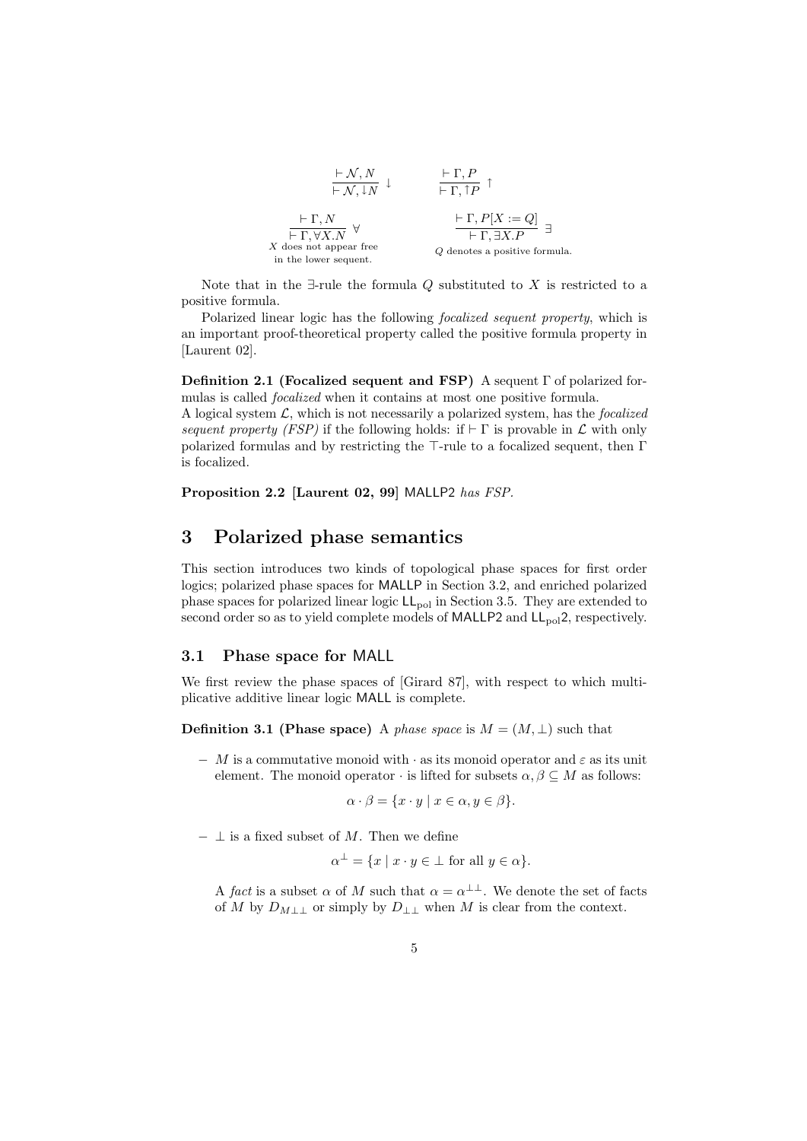

Note that in the *∃*-rule the formula *Q* substituted to *X* is restricted to a positive formula.

Polarized linear logic has the following *focalized sequent property*, which is an important proof-theoretical property called the positive formula property in [Laurent 02].

**Definition 2.1 (Focalized sequent and FSP)** A sequent Γ of polarized formulas is called *focalized* when it contains at most one positive formula.

A logical system *L*, which is not necessarily a polarized system, has the *focalized sequent property (FSP)* if the following holds: if  $\vdash \Gamma$  is provable in  $\mathcal L$  with only polarized formulas and by restricting the *⊤*-rule to a focalized sequent, then Γ is focalized.

**Proposition 2.2 [Laurent 02, 99]** MALLP2 *has FSP.*

# **3 Polarized phase semantics**

This section introduces two kinds of topological phase spaces for first order logics; polarized phase spaces for MALLP in Section 3.2, and enriched polarized phase spaces for polarized linear logic  $LL_{pol}$  in Section 3.5. They are extended to second order so as to yield complete models of MALLP2 and  $LL_{pol}2$ , respectively.

### **3.1 Phase space for** MALL

We first review the phase spaces of [Girard 87], with respect to which multiplicative additive linear logic MALL is complete.

**Definition 3.1 (Phase space)** A *phase space* is  $M = (M, \perp)$  such that

*− M* is a commutative monoid with *·* as its monoid operator and *ε* as its unit element. The monoid operator  $\cdot$  is lifted for subsets  $\alpha, \beta \subseteq M$  as follows:

 $\alpha \cdot \beta = \{x \cdot y \mid x \in \alpha, y \in \beta\}.$ 

*− ⊥* is a fixed subset of *M*. Then we define

 $\alpha^{\perp} = \{x \mid x \cdot y \in \perp \text{ for all } y \in \alpha\}.$ 

A *fact* is a subset  $\alpha$  of M such that  $\alpha = \alpha^{\perp \perp}$ . We denote the set of facts of *M* by  $D_{M \perp\perp}$  or simply by  $D_{\perp\perp}$  when  $M$  is clear from the context.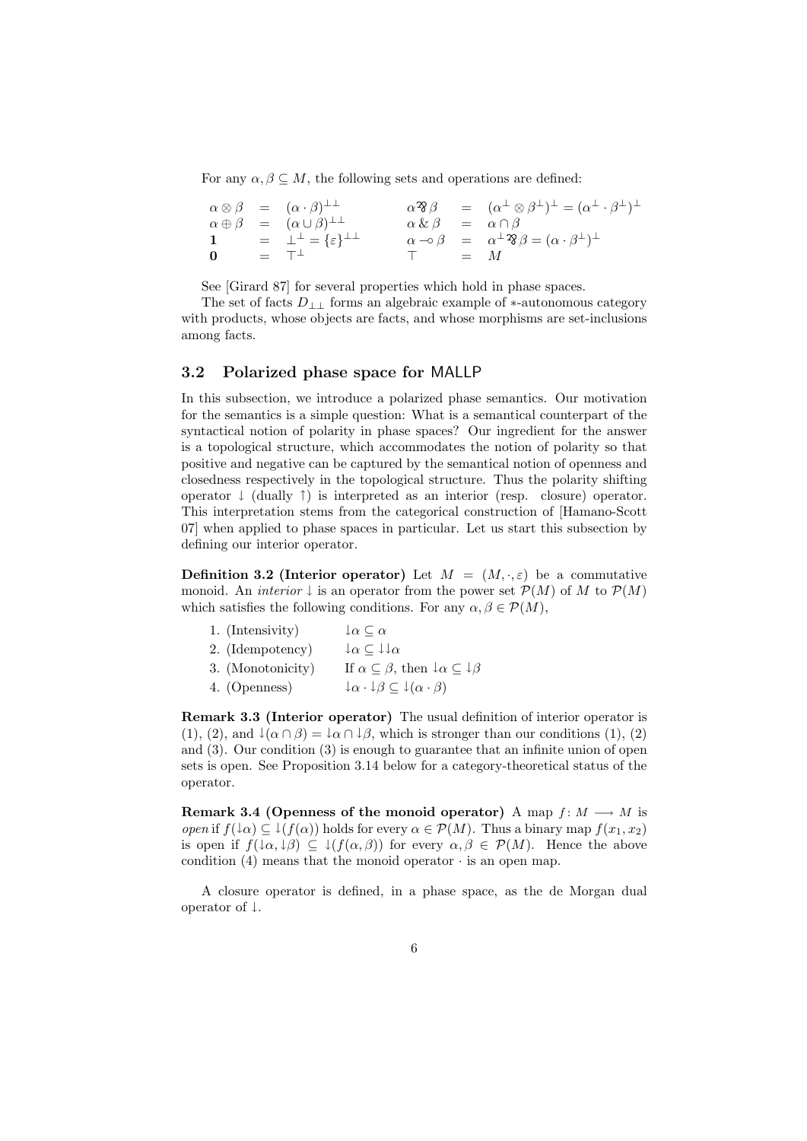For any  $\alpha, \beta \subseteq M$ , the following sets and operations are defined:

$$
\begin{array}{rcl}\n\alpha \otimes \beta & = & (\alpha \cdot \beta)^{\perp \perp} \\
\alpha \oplus \beta & = & (\alpha \cup \beta)^{\perp \perp} \\
\mathbf{1} & = & \perp^{\perp} = \{\varepsilon\}^{\perp \perp} \\
\mathbf{0} & = & \top^{\perp}\n\end{array}\n\qquad\n\begin{array}{rcl}\n\alpha \mathfrak{B}\beta & = & (\alpha^{\perp} \otimes \beta^{\perp})^{\perp} = (\alpha^{\perp} \cdot \beta^{\perp})^{\perp} \\
\alpha \& \beta & = & \alpha \cap \beta \\
\alpha \neg \circ \beta & = & \alpha^{\perp} \mathfrak{B}\beta = (\alpha \cdot \beta^{\perp})^{\perp} \\
\pi & = & M\n\end{array}
$$

See [Girard 87] for several properties which hold in phase spaces.

The set of facts *D⊥⊥* forms an algebraic example of *∗*-autonomous category with products, whose objects are facts, and whose morphisms are set-inclusions among facts.

### **3.2 Polarized phase space for** MALLP

In this subsection, we introduce a polarized phase semantics. Our motivation for the semantics is a simple question: What is a semantical counterpart of the syntactical notion of polarity in phase spaces? Our ingredient for the answer is a topological structure, which accommodates the notion of polarity so that positive and negative can be captured by the semantical notion of openness and closedness respectively in the topological structure. Thus the polarity shifting operator *↓* (dually *↑*) is interpreted as an interior (resp. closure) operator. This interpretation stems from the categorical construction of [Hamano-Scott 07] when applied to phase spaces in particular. Let us start this subsection by defining our interior operator.

**Definition 3.2 (Interior operator)** Let  $M = (M, \cdot, \varepsilon)$  be a commutative monoid. An *interior*  $\downarrow$  is an operator from the power set  $\mathcal{P}(M)$  of M to  $\mathcal{P}(M)$ which satisfies the following conditions. For any  $\alpha, \beta \in \mathcal{P}(M)$ ,

| 1. (Intensivity)  | $\downarrow$ $\alpha \subset \alpha$                                                 |
|-------------------|--------------------------------------------------------------------------------------|
| 2. (Idempotency)  | $\downarrow \alpha \subseteq \downarrow \downarrow \alpha$                           |
| 3. (Monotonicity) | If $\alpha \subseteq \beta$ , then $\downarrow \alpha \subseteq \downarrow \beta$    |
| 4. (Openness)     | $\downarrow \alpha \cdot \downarrow \beta \subseteq \downarrow (\alpha \cdot \beta)$ |

**Remark 3.3 (Interior operator)** The usual definition of interior operator is (1), (2), and  $\downarrow$   $(\alpha \cap \beta) = \downarrow \alpha \cap \downarrow \beta$ , which is stronger than our conditions (1), (2) and (3). Our condition (3) is enough to guarantee that an infinite union of open sets is open. See Proposition 3.14 below for a category-theoretical status of the operator.

**Remark 3.4 (Openness of the monoid operator)** A map  $f: M \longrightarrow M$  is *open* if  $f(\downarrow \alpha) \subseteq \downarrow (f(\alpha))$  holds for every  $\alpha \in \mathcal{P}(M)$ . Thus a binary map  $f(x_1, x_2)$ is open if  $f(\downarrow \alpha, \downarrow \beta) \subseteq \downarrow (f(\alpha, \beta))$  for every  $\alpha, \beta \in \mathcal{P}(M)$ . Hence the above condition  $(4)$  means that the monoid operator  $\cdot$  is an open map.

A closure operator is defined, in a phase space, as the de Morgan dual operator of *↓*.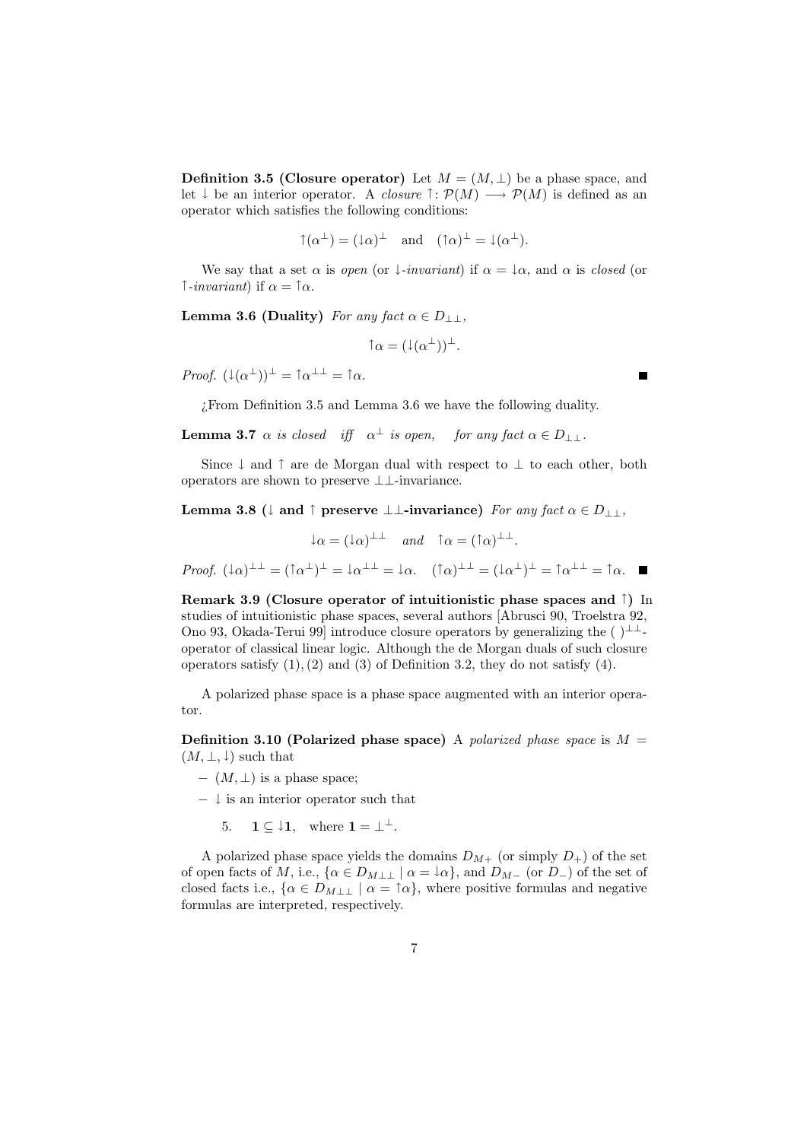**Definition 3.5 (Closure operator)** Let  $M = (M, \perp)$  be a phase space, and let  $\downarrow$  be an interior operator. A *closure*  $\uparrow : \mathcal{P}(M) \longrightarrow \mathcal{P}(M)$  is defined as an operator which satisfies the following conditions:

$$
\uparrow(\alpha^{\perp}) = (\downarrow \alpha)^{\perp} \quad \text{and} \quad (\uparrow \alpha)^{\perp} = \downarrow(\alpha^{\perp}).
$$

We say that a set  $\alpha$  is *open* (or  $\downarrow$ *-invariant*) if  $\alpha = \downarrow \alpha$ , and  $\alpha$  is *closed* (or *↑-invariant*) if *α* = *↑α*.

**Lemma 3.6 (Duality)** *For any fact*  $\alpha \in D_{\perp\perp}$ *,* 

 $\uparrow \alpha = (\downarrow(\alpha^{\perp}))^{\perp}.$ 

*Proof.*  $(\downarrow(\alpha^{\perp}))^{\perp} = \uparrow \alpha^{\perp \perp} = \uparrow \alpha$ .

¿From Definition 3.5 and Lemma 3.6 we have the following duality.

**Lemma 3.7**  $\alpha$  is closed iff  $\alpha^{\perp}$  is open, for any fact  $\alpha \in D_{\perp\perp}$ .

Since *↓* and *↑* are de Morgan dual with respect to *⊥* to each other, both operators are shown to preserve *⊥⊥*-invariance.

**Lemma 3.8** ( $\downarrow$  **and**  $\uparrow$  **preserve**  $\perp \perp$ **-invariance)** For any fact  $\alpha \in D_{\perp\perp}$ ,

 $\downarrow \alpha = (\downarrow \alpha)^{\perp \perp}$  *and*  $\uparrow \alpha = (\uparrow \alpha)^{\perp \perp}$ .

Proof.  $(\downarrow \alpha)^{\perp \perp} = (\uparrow \alpha^{\perp})^{\perp} = \downarrow \alpha^{\perp \perp} = \downarrow \alpha.$   $(\uparrow \alpha)^{\perp \perp} = (\downarrow \alpha^{\perp})^{\perp} = \uparrow \alpha^{\perp \perp} = \uparrow \alpha.$ 

**Remark 3.9 (Closure operator of intuitionistic phase spaces and** *↑***)** In studies of intuitionistic phase spaces, several authors [Abrusci 90, Troelstra 92, Ono 93, Okada-Terui 99] introduce closure operators by generalizing the ( )*⊥⊥* operator of classical linear logic. Although the de Morgan duals of such closure operators satisfy (1)*,*(2) and (3) of Definition 3.2, they do not satisfy (4).

A polarized phase space is a phase space augmented with an interior operator.

**Definition 3.10 (Polarized phase space)** A *polarized phase space* is *M* =  $(M, \perp, \perp)$  such that

- *−* (*M, ⊥*) is a phase space;
- *− ↓* is an interior operator such that
	- 5. **1**  $\subset \downarrow$ **1**, where **1** =  $\perp$ <sup> $\perp$ </sup>.

A polarized phase space yields the domains  $D_{M+}$  (or simply  $D_{+}$ ) of the set of open facts of *M*, i.e.,  $\{\alpha \in D_{M\perp\perp} \mid \alpha = \downarrow \alpha\}$ , and  $D_{M-}$  (or  $D-$ ) of the set of closed facts i.e.,  $\{\alpha \in D_{M\perp\perp} \mid \alpha = \uparrow \alpha\}$ , where positive formulas and negative formulas are interpreted, respectively.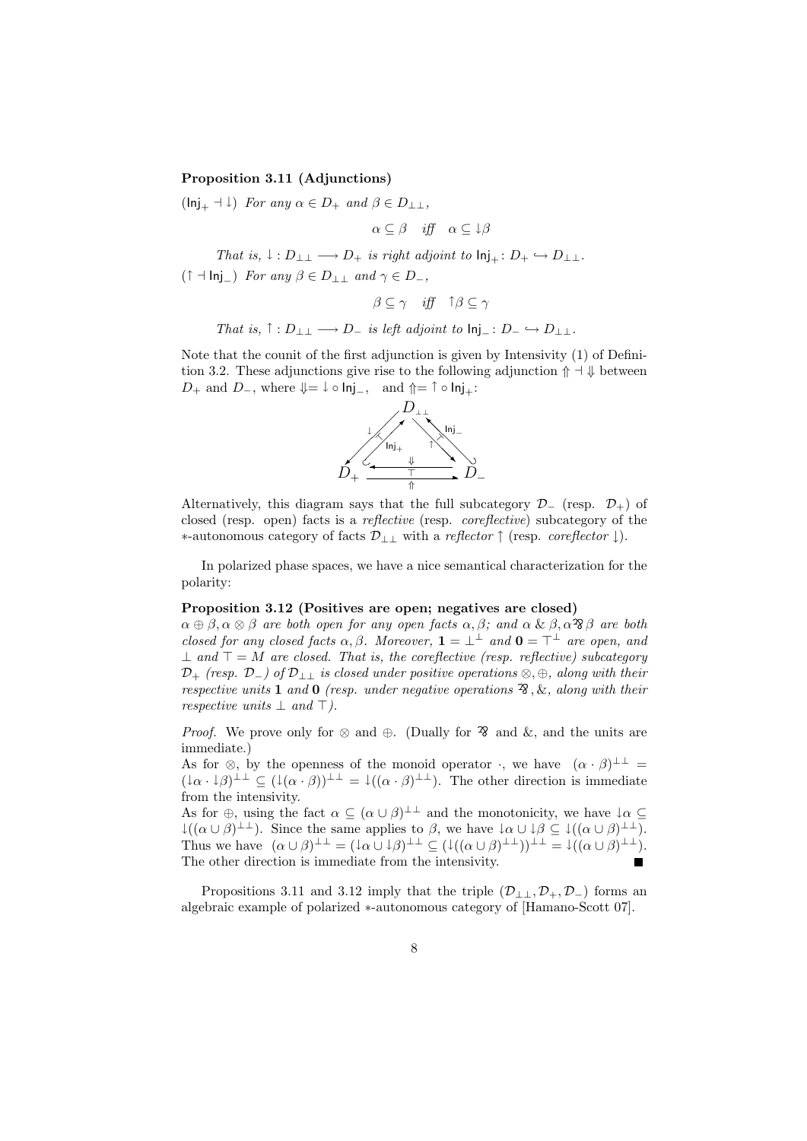#### **Proposition 3.11 (Adjunctions)**

 $(\text{Inj}_{+} + \downarrow)$  *For any*  $\alpha \in D_{+}$  *and*  $\beta \in D_{\perp}$ *,* 

$$
\alpha \subseteq \beta \quad \text{iff} \quad \alpha \subseteq \downarrow \beta
$$

*That is,*  $\downarrow$  :  $D_{\perp\perp} \longrightarrow D_{+}$  *is right adjoint to*  $\text{Inj}_{+}: D_{+} \hookrightarrow D_{\perp\perp}$ *.* (*<sup>↑</sup> <sup>⊣</sup>* Inj*−*) *For any <sup>β</sup> <sup>∈</sup> <sup>D</sup>⊥⊥ and <sup>γ</sup> <sup>∈</sup> <sup>D</sup>−,*

$$
\beta \subseteq \gamma \quad \text{iff} \quad \uparrow \beta \subseteq \gamma
$$

*That is,*  $\uparrow$  :  $D_{\perp\perp} \longrightarrow D_{\perp}$  *is left adjoint to*  $\text{Inj}_- : D_- \hookrightarrow D_{\perp\perp}$ *.* 

Note that the counit of the first adjunction is given by Intensivity (1) of Definition 3.2. These adjunctions give rise to the following adjunction *⇑ ⊣ ⇓* between *D*<sub>+</sub> and *D*<sub>−</sub>, where  $\Downarrow = \downarrow \circ \mathsf{Inj}_-,$  and  $\Uparrow = \uparrow \circ \mathsf{Inj}_+$ :



Alternatively, this diagram says that the full subcategory  $\mathcal{D}$ <sup>−</sup> (resp.  $\mathcal{D}$ <sup>+</sup>) of closed (resp. open) facts is a *reflective* (resp. *coreflective*) subcategory of the *∗*-autonomous category of facts *D⊥⊥* with a *reflector ↑* (resp. *coreflector ↓*).

In polarized phase spaces, we have a nice semantical characterization for the polarity:

#### **Proposition 3.12 (Positives are open; negatives are closed)**

 $\alpha \oplus \beta, \alpha \otimes \beta$  are both open for any open facts  $\alpha, \beta$ ; and  $\alpha \& \beta, \alpha \hat{B} \beta$  are both *closed for any closed facts*  $\alpha, \beta$ *. Moreover*,  $\mathbf{1} = \perp^{\perp}$  *and*  $\mathbf{0} = \perp^{\perp}$  *are open, and ⊥ and ⊤* = *M are closed. That is, the coreflective (resp. reflective) subcategory D*<sup>+</sup> *(resp. D−) of D⊥⊥ is closed under positive operations ⊗, ⊕, along with their respective units* **1** *and* **0** *(resp. under negative operations*  $\mathcal{R}$ *, &, along with their respective units ⊥ and ⊤).*

*Proof.* We prove only for  $\otimes$  and  $\oplus$ . (Dually for  $\hat{\mathcal{C}}$  and  $\&$ , and the units are immediate.)

As for  $\otimes$ , by the openness of the monoid operator *·*, we have  $(\alpha \cdot \beta)^{\perp \perp} =$  $(\downarrow \alpha \cdot \downarrow \beta)^{\perp \perp} \subseteq (\downarrow (\alpha \cdot \beta))^{\perp \perp} = \downarrow ((\alpha \cdot \beta)^{\perp \perp}).$  The other direction is immediate from the intensivity.

As for  $\oplus$ , using the fact  $\alpha \subseteq (\alpha \cup \beta)^{\perp \perp}$  and the monotonicity, we have  $\downarrow \alpha \subseteq$ *↓*(( $\alpha \cup \beta$ )<sup>⊥⊥</sup>). Since the same applies to  $\beta$ , we have  $\downarrow \alpha \cup \downarrow \beta \subseteq \downarrow$ (( $\alpha \cup \beta$ )<sup>⊥⊥</sup>). Thus we have  $(\alpha \cup \beta)^{\perp \perp} = (\downarrow \alpha \cup \downarrow \beta)^{\perp \perp} \subseteq (\downarrow ((\alpha \cup \beta)^{\perp \perp}))^{\perp \perp} = \downarrow ((\alpha \cup \beta)^{\perp \perp}).$ The other direction is immediate from the intensivity.

Propositions 3.11 and 3.12 imply that the triple  $(\mathcal{D}_{\perp\perp}, \mathcal{D}_{+}, \mathcal{D}_{-})$  forms an algebraic example of polarized *∗*-autonomous category of [Hamano-Scott 07].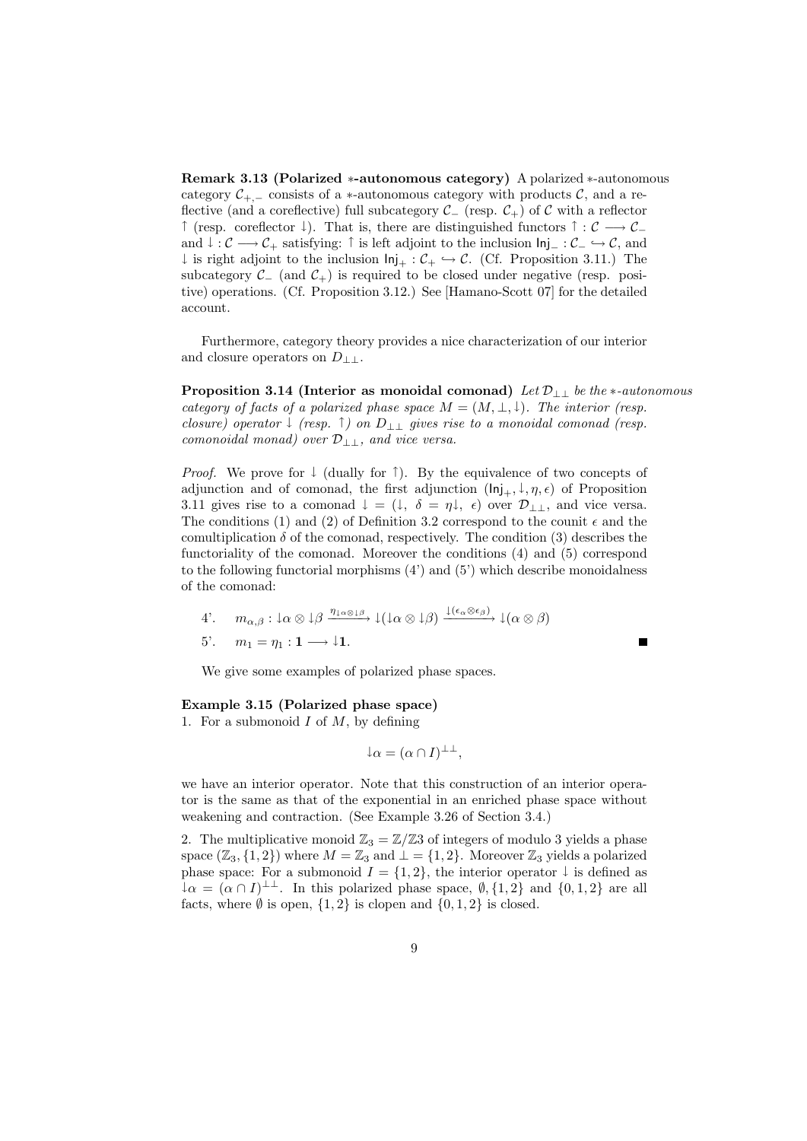**Remark 3.13 (Polarized** *∗***-autonomous category)** A polarized *∗*-autonomous category  $C_{+,-}$  consists of a *\**-autonomous category with products  $C$ , and a reflective (and a coreflective) full subcategory  $\mathcal{C}$ <sup>*−*</sup> (resp.  $\mathcal{C}$ <sup>+</sup>) of  $\mathcal{C}$  with a reflector *<sup>↑</sup>* (resp. coreflector *<sup>↓</sup>*). That is, there are distinguished functors *<sup>↑</sup>* : *C −→ C<sup>−</sup>* and *<sup>↓</sup>* : *C −→ C*<sup>+</sup> satisfying: *<sup>↑</sup>* is left adjoint to the inclusion Inj*<sup>−</sup>* : *<sup>C</sup><sup>−</sup> ,→ C*, and *↓* is right adjoint to the inclusion  $\text{Inj}_+$  :  $\mathcal{C}_+$   $\hookrightarrow$   $\mathcal{C}_+$ . (Cf. Proposition 3.11.) The subcategory  $\mathcal{C}$ <sup>−</sup> (and  $\mathcal{C}^+$ ) is required to be closed under negative (resp. positive) operations. (Cf. Proposition 3.12.) See [Hamano-Scott 07] for the detailed account.

Furthermore, category theory provides a nice characterization of our interior and closure operators on *D⊥⊥*.

**Proposition 3.14 (Interior as monoidal comonad)** *Let D⊥⊥ be the ∗-autonomous category of facts of a polarized phase space*  $M = (M, \perp, \downarrow)$ *. The interior (resp. closure) operator <sup>↓</sup> (resp. <sup>↑</sup>) on <sup>D</sup>⊥⊥ gives rise to a monoidal comonad (resp. comonoidal monad) over D⊥⊥, and vice versa.*

*Proof.* We prove for ↓ (dually for ↑). By the equivalence of two concepts of adjunction and of comonad, the first adjunction  $(\text{Inj}_{+}, \downarrow, \eta, \epsilon)$  of Proposition 3.11 gives rise to a comonad  $\downarrow = (\downarrow, \delta = \eta \downarrow, \epsilon)$  over  $\mathcal{D}_{\perp \perp}$ , and vice versa. The conditions (1) and (2) of Definition 3.2 correspond to the counit  $\epsilon$  and the comultiplication  $\delta$  of the comonad, respectively. The condition (3) describes the functoriality of the comonad. Moreover the conditions (4) and (5) correspond to the following functorial morphisms  $(4')$  and  $(5')$  which describe monoidalness of the comonad:

4'. 
$$
m_{\alpha,\beta} : \downarrow \alpha \otimes \downarrow \beta \xrightarrow{\eta_{\downarrow \alpha \otimes \downarrow \beta}} \downarrow (\downarrow \alpha \otimes \downarrow \beta) \xrightarrow{\downarrow (\epsilon_{\alpha} \otimes \epsilon_{\beta})} \downarrow (\alpha \otimes \beta)
$$
  
5'.  $m_1 = \eta_1 : \mathbf{1} \longrightarrow \downarrow \mathbf{1}$ .

We give some examples of polarized phase spaces.

#### **Example 3.15 (Polarized phase space)**

1*.* For a submonoid *I* of *M*, by defining

$$
\downarrow \alpha = (\alpha \cap I)^{\perp \perp},
$$

we have an interior operator. Note that this construction of an interior operator is the same as that of the exponential in an enriched phase space without weakening and contraction. (See Example 3.26 of Section 3.4.)

2. The multiplicative monoid  $\mathbb{Z}_3 = \mathbb{Z}/\mathbb{Z}3$  of integers of modulo 3 yields a phase space  $(\mathbb{Z}_3, \{1,2\})$  where  $M = \mathbb{Z}_3$  and  $\bot = \{1,2\}$ . Moreover  $\mathbb{Z}_3$  yields a polarized phase space: For a submonoid  $I = \{1, 2\}$ , the interior operator  $\downarrow$  is defined as  $\downarrow \alpha = (\alpha \cap I)^{\perp \perp}$ . In this polarized phase space,  $\emptyset$ , {1, 2} and {0, 1, 2} are all facts, where  $\emptyset$  is open,  $\{1, 2\}$  is clopen and  $\{0, 1, 2\}$  is closed.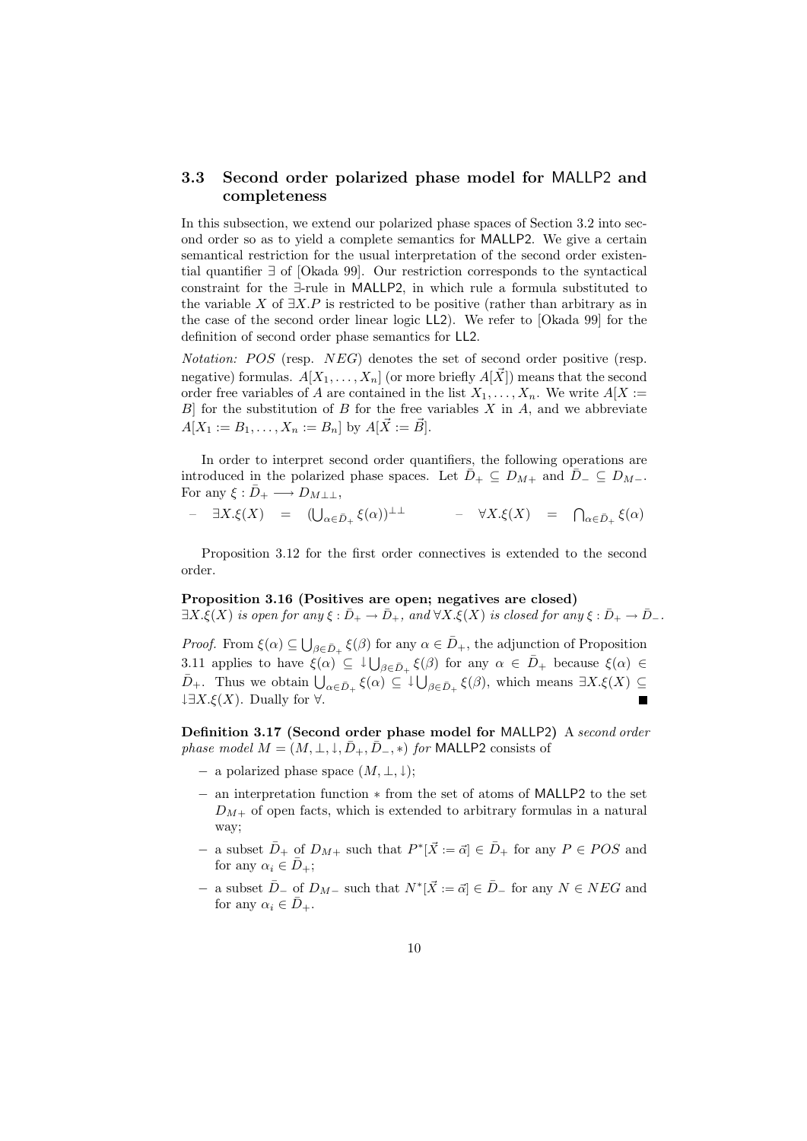## **3.3 Second order polarized phase model for** MALLP2 **and completeness**

In this subsection, we extend our polarized phase spaces of Section 3.2 into second order so as to yield a complete semantics for MALLP2. We give a certain semantical restriction for the usual interpretation of the second order existential quantifier *∃* of [Okada 99]. Our restriction corresponds to the syntactical constraint for the *∃*-rule in MALLP2, in which rule a formula substituted to the variable *X* of *∃X.P* is restricted to be positive (rather than arbitrary as in the case of the second order linear logic LL2). We refer to [Okada 99] for the definition of second order phase semantics for LL2.

*Notation: POS* (resp. *NEG*) denotes the set of second order positive (resp. negative) formulas.  $A[X_1, \ldots, X_n]$  (or more briefly  $A[\vec{X}]$ ) means that the second order free variables of *A* are contained in the list  $X_1, \ldots, X_n$ . We write  $A[X]$ : *B*] for the substitution of *B* for the free variables *X* in *A*, and we abbreviate  $A[X_1 := B_1, \ldots, X_n := B_n]$  by  $A[\vec{X} := \vec{B}]$ .

In order to interpret second order quantifiers, the following operations are introduced in the polarized phase spaces. Let  $\bar{D}_+ \subseteq D_{M+}$  and  $\bar{D}_- \subseteq D_{M-}$ . For any  $\xi : \bar{D}_+ \longrightarrow D_{M \perp \perp}$ ,

– *∃X.ξ*(*X*) = (∪ *<sup>α</sup>∈D*¯<sup>+</sup> *ξ*(*α*))*⊥⊥* – *∀X.ξ*(*X*) = ∩ *<sup>α</sup>∈D*¯<sup>+</sup> *ξ*(*α*)

Proposition 3.12 for the first order connectives is extended to the second order.

#### **Proposition 3.16 (Positives are open; negatives are closed)**

 $\exists X.\xi(X)$  *is open for any*  $\xi : \bar{D}_+ \to \bar{D}_+$ *, and*  $\forall X.\xi(X)$  *is closed for any*  $\xi : \bar{D}_+ \to \bar{D}_-$ *.* 

*Proof.* From  $\xi(\alpha) \subseteq \bigcup_{\beta \in \bar{D}_+} \xi(\beta)$  for any  $\alpha \in \bar{D}_+$ , the adjunction of Proposition 3.11 applies to have  $\xi(\alpha) \subseteq \downarrow \bigcup_{\beta \in \bar{D}_+} \xi(\beta)$  for any  $\alpha \in \bar{D}_+$  because  $\xi(\alpha) \in$  $\overline{D}_{+}$ . Thus we obtain  $\bigcup_{\alpha \in \overline{D}_{+}} \xi(\alpha) \subseteq \downarrow \bigcup_{\beta \in \overline{D}_{+}} \xi(\beta)$ , which means  $\exists X.\xi(X) \subseteq$ *↓∃X.ξ*(*X*). Dually for *∀*.  $\blacksquare$ 

**Definition 3.17 (Second order phase model for** MALLP2**)** A *second order phase model*  $M = (M, \perp, \downarrow, \bar{D}_+, \bar{D}_-, *)$  *for* MALLP2 consists of

- *−* a polarized phase space (*M, ⊥, ↓*);
- *−* an interpretation function *∗* from the set of atoms of MALLP2 to the set  $D_{M+}$  of open facts, which is extended to arbitrary formulas in a natural way;
- *−* a subset  $\overline{D}$ <sup>+</sup> of  $D_{M+}$  such that  $P^*[\overrightarrow{X} := \overrightarrow{\alpha}] \in \overline{D}$ <sup>+</sup> for any  $P \in POS$  and for any  $\alpha_i \in \overline{D}_+$ ;
- *−* a subset  $\overline{D}$ <sup>−</sup> of  $D_{M-}$  such that  $N^*[\overrightarrow{X} := \overrightarrow{\alpha}] \in \overline{D}$  for any  $N \in NEG$  and for any  $\alpha_i \in \overline{D}_+$ .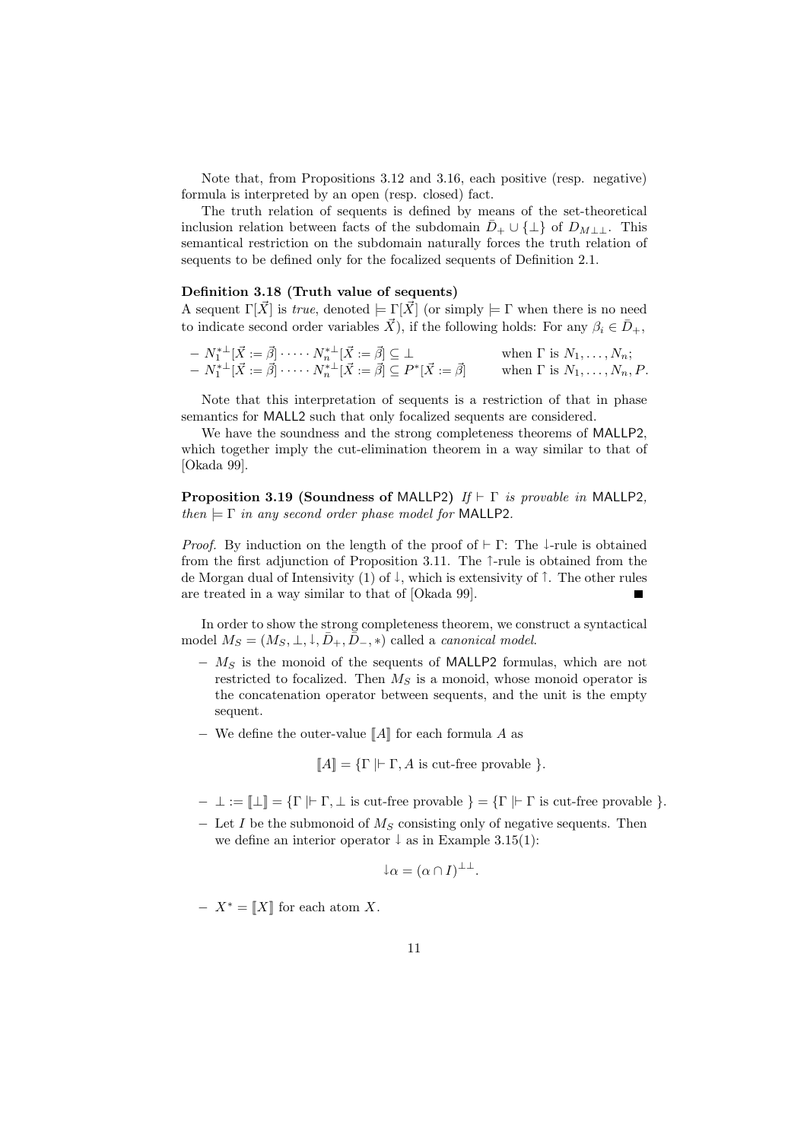Note that, from Propositions 3.12 and 3.16, each positive (resp. negative) formula is interpreted by an open (resp. closed) fact.

The truth relation of sequents is defined by means of the set-theoretical inclusion relation between facts of the subdomain  $\bar{D}_+ \cup {\perp}$  of  $D_{M++}$ . This semantical restriction on the subdomain naturally forces the truth relation of sequents to be defined only for the focalized sequents of Definition 2.1.

### **Definition 3.18 (Truth value of sequents)**

A sequent  $\Gamma[\vec{X}]$  is *true*, denoted  $\models \Gamma[\vec{X}]$  (or simply  $\models \Gamma$  when there is no need to indicate second order variables  $\vec{X}$ ), if the following holds: For any  $\beta_i \in \bar{D}_+$ ,

$$
- N_1^{* \perp} [\vec{X} := \vec{\beta}] \cdots N_n^{* \perp} [\vec{X} := \vec{\beta}] \subseteq \bot \quad \text{when } \Gamma \text{ is } N_1, \ldots, N_n; - N_1^{* \perp} [\vec{X} := \vec{\beta}] \cdots N_n^{* \perp} [\vec{X} := \vec{\beta}] \subseteq P^* [\vec{X} := \vec{\beta}] \quad \text{when } \Gamma \text{ is } N_1, \ldots, N_n, P.
$$

Note that this interpretation of sequents is a restriction of that in phase semantics for MALL2 such that only focalized sequents are considered.

We have the soundness and the strong completeness theorems of MALLP2, which together imply the cut-elimination theorem in a way similar to that of [Okada 99].

**Proposition 3.19 (Soundness of** MALLP2**)** *If ⊢* Γ *is provable in* MALLP2*, then*  $\models \Gamma$  *in any second order phase model for* MALLP2.

*Proof.* By induction on the length of the proof of *⊦* Γ: The ↓-rule is obtained from the first adjunction of Proposition 3.11. The *↑*-rule is obtained from the de Morgan dual of Intensivity (1) of *↓*, which is extensivity of *↑*. The other rules are treated in a way similar to that of [Okada 99].

In order to show the strong completeness theorem, we construct a syntactical model  $M_S = (M_S, \perp, \perp, \bar{D}_+, \bar{D}_-, *)$  called a *canonical model*.

- *− M<sup>S</sup>* is the monoid of the sequents of MALLP2 formulas, which are not restricted to focalized. Then *M<sup>S</sup>* is a monoid, whose monoid operator is the concatenation operator between sequents, and the unit is the empty sequent.
- *−* We define the outer-value [[*A*]] for each formula *A* as

$$
\llbracket A \rrbracket = \{ \Gamma \mid \vdash \Gamma, A \text{ is cut-free provable } \}.
$$

- *− ⊥* := [[*⊥*]] = *{*Γ *|⊢* Γ*, ⊥* is cut-free provable *}* = *{*Γ *|⊢* Γ is cut-free provable *}*.
- *−* Let *I* be the submonoid of *M<sup>S</sup>* consisting only of negative sequents. Then we define an interior operator *↓* as in Example 3.15(1):

$$
\downarrow \alpha = (\alpha \cap I)^{\perp \perp}.
$$

*− X<sup>∗</sup>* = [[*X*]] for each atom *X*.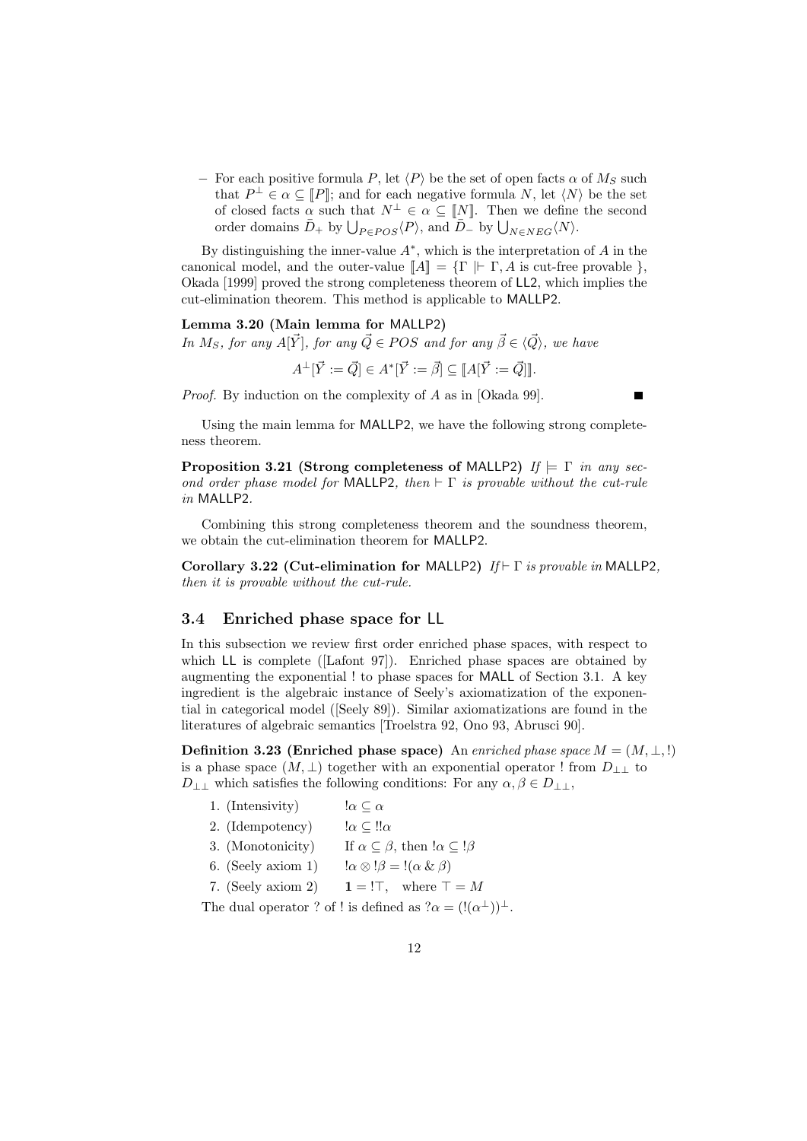$−$  For each positive formula *P*, let  $\langle P \rangle$  be the set of open facts *α* of *M<sub>S</sub>* such that  $P^{\perp} \in \alpha \subseteq [P]$ ; and for each negative formula *N*, let  $\langle N \rangle$  be the set of closed facts  $\alpha$  such that  $N^{\perp} \in \alpha \subseteq [N]$ . Then we define the second order domains  $\bar{D}_{+}$  by  $\bigcup_{P \in POS} \langle P \rangle$ , and  $\bar{D}_{-}$  by  $\bigcup_{N \in NEG} \langle N \rangle$ .

By distinguishing the inner-value *A<sup>∗</sup>* , which is the interpretation of *A* in the canonical model, and the outer-value  $\llbracket A \rrbracket = \{ \Gamma \mid \vdash \Gamma, A \text{ is cut-free provable } \},\$ Okada [1999] proved the strong completeness theorem of LL2, which implies the cut-elimination theorem. This method is applicable to MALLP2.

**Lemma 3.20 (Main lemma for** MALLP2**)**

*In*  $M_S$ *, for any*  $A[\vec{Y}]$ *, for any*  $\vec{Q} \in POS$  *and for any*  $\vec{\beta} \in \langle \vec{Q} \rangle$ *, we have* 

 $A^{\perp}[\vec{Y} := \vec{Q}] \in A^*[\vec{Y} := \vec{\beta}] \subseteq [A[\vec{Y} := \vec{Q}]]$ .

*Proof.* By induction on the complexity of *A* as in [Okada 99].

Using the main lemma for MALLP2, we have the following strong completeness theorem.

**Proposition 3.21 (Strong completeness of MALLP2)**  $If \models \Gamma$ *in any second order phase model for* MALLP2*, then ⊢* Γ *is provable without the cut-rule in* MALLP2*.*

Combining this strong completeness theorem and the soundness theorem, we obtain the cut-elimination theorem for MALLP2.

**Corollary 3.22 (Cut-elimination for** MALLP2**)** *If ⊢* Γ *is provable in* MALLP2*, then it is provable without the cut-rule.*

#### **3.4 Enriched phase space for** LL

In this subsection we review first order enriched phase spaces, with respect to which LL is complete ([Lafont 97]). Enriched phase spaces are obtained by augmenting the exponential ! to phase spaces for MALL of Section 3.1. A key ingredient is the algebraic instance of Seely's axiomatization of the exponential in categorical model ([Seely 89]). Similar axiomatizations are found in the literatures of algebraic semantics [Troelstra 92, Ono 93, Abrusci 90].

**Definition 3.23 (Enriched phase space)** An *enriched phase space*  $M = (M, \perp, !)$ is a phase space  $(M, \perp)$  together with an exponential operator ! from  $D_{++}$  to *D*<sub>⊥⊥</sub> which satisfies the following conditions: For any  $\alpha, \beta \in D_{\perp}$ ,

- 1. (Intensivity)  $\alpha \subseteq \alpha$
- 2. (Idempotency)  $\alpha \subseteq \mathbb{I} \alpha$
- 3. (Monotonicity) If  $\alpha \subseteq \beta$ , then  $\alpha \subseteq \beta$
- 6. (Seely axiom 1)  $\qquad \alpha \otimes \beta = \beta (\alpha \& \beta)$
- 7. (Seely axiom 2) **1** = ! $\top$ , where  $\top = M$

The dual operator ? of ! is defined as  $?a = (!(\alpha^{\perp}))^{\perp}$ .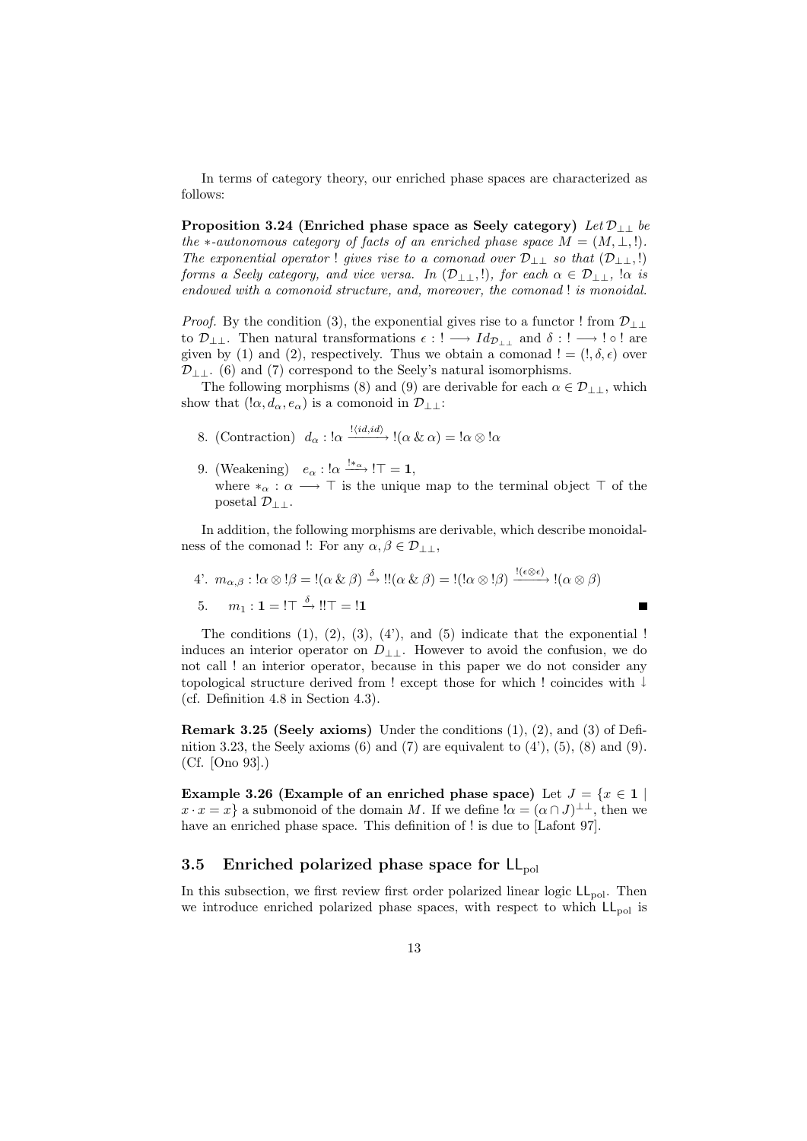In terms of category theory, our enriched phase spaces are characterized as follows:

**Proposition 3.24 (Enriched phase space as Seely category)** *Let D⊥⊥ be the*  $*$ -autonomous category of facts of an enriched phase space  $M = (M, \perp, !)$ *. The exponential operator* ! *gives rise to a comonad over*  $\mathcal{D}_{\perp}$  *so that*  $(\mathcal{D}_{\perp}$ *,* !) *forms a Seely category, and vice versa. In*  $(D_{\perp\perp},!)$ *, for each*  $\alpha \in D_{\perp\perp}$ ,  $\alpha$  *is endowed with a comonoid structure, and, moreover, the comonad* ! *is monoidal.*

*Proof.* By the condition (3), the exponential gives rise to a functor ! from  $\mathcal{D}_{\perp\perp}$ to  $\mathcal{D}_{\perp\perp}$ . Then natural transformations  $\epsilon$  : !  $\longrightarrow Id_{\mathcal{D}_{\perp\perp}}$  and  $\delta$  : !  $\longrightarrow$  !  $\circ$  ! are given by (1) and (2), respectively. Thus we obtain a comonad  $! = (!, \delta, \epsilon)$  over *D*<sub>⊥⊥</sub>. (6) and (7) correspond to the Seely's natural isomorphisms.

The following morphisms (8) and (9) are derivable for each  $\alpha \in \mathcal{D}_{++}$ , which show that  $(l\alpha, d_\alpha, e_\alpha)$  is a comonoid in  $\mathcal{D}_{\perp\perp}$ :

- 8. (Contraction)  $d_{\alpha} : \alpha \xrightarrow{! \langle id, id \rangle} \alpha \alpha = \alpha \otimes \alpha$
- 9. (Weakening)  $e_{\alpha}$  : ! $\alpha \xrightarrow{!*_{\alpha}} !\top = 1$ , where  $*_\alpha : \alpha \longrightarrow \top$  is the unique map to the terminal object  $\top$  of the posetal *D⊥⊥*.

In addition, the following morphisms are derivable, which describe monoidalness of the comonad !: For any  $\alpha, \beta \in \mathcal{D}_{\perp\perp}$ ,

4'. 
$$
m_{\alpha,\beta}: \alpha \otimes \beta = \{(\alpha \& \beta) \xrightarrow{\delta} \beta : \alpha \otimes \beta\} = \{(\alpha \otimes \beta) \xrightarrow{\beta} \alpha \otimes \beta\}
$$
  
5.  $m_1: \mathbf{1} = \beta \Rightarrow \beta \in \mathbf{1}$ 

The conditions  $(1)$ ,  $(2)$ ,  $(3)$ ,  $(4')$ , and  $(5)$  indicate that the exponential ! induces an interior operator on  $D_{+}$ . However to avoid the confusion, we do not call ! an interior operator, because in this paper we do not consider any topological structure derived from ! except those for which ! coincides with *↓* (cf. Definition 4.8 in Section 4.3).

 $\blacksquare$ 

**Remark 3.25 (Seely axioms)** Under the conditions (1), (2), and (3) of Definition 3.23, the Seely axioms  $(6)$  and  $(7)$  are equivalent to  $(4')$ ,  $(5)$ ,  $(8)$  and  $(9)$ . (Cf. [Ono 93].)

**Example 3.26 (Example of an enriched phase space)** Let  $J = \{x \in \mathbf{1} \}$  $x \cdot x = x$ } a submonoid of the domain *M*. If we define  $\alpha = (\alpha \cap J)^{\perp \perp}$ , then we have an enriched phase space. This definition of ! is due to [Lafont 97].

## **3.5 Enriched polarized phase space for LL**<sub>pol</sub>

In this subsection, we first review first order polarized linear logic  $LL_{pol}$ . Then we introduce enriched polarized phase spaces, with respect to which  $LL_{pol}$  is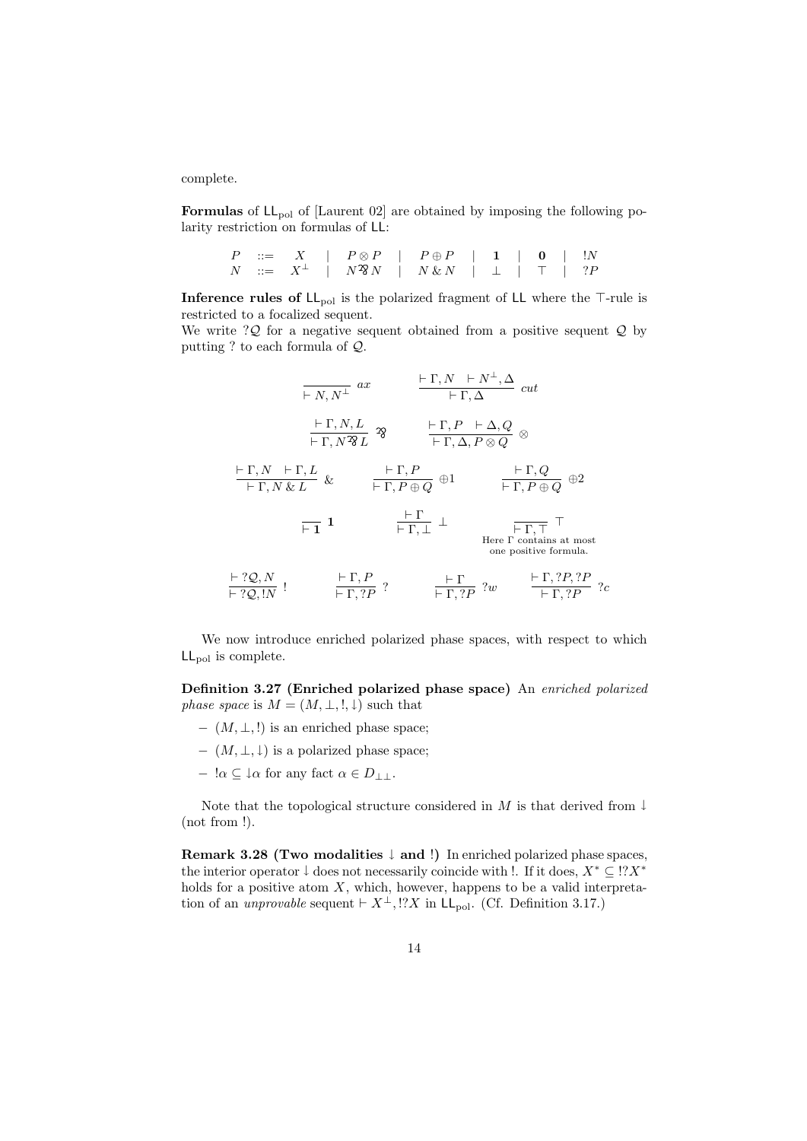complete.

**Formulas** of  $LL_{pol}$  of [Laurent 02] are obtained by imposing the following polarity restriction on formulas of LL:

|  |  |  | $P \ ::= \quad X \quad   \quad P \otimes P \quad   \quad P \oplus P \quad   \quad 1 \quad   \quad 0 \quad   \quad !N$                         |  |  |  |
|--|--|--|-----------------------------------------------------------------------------------------------------------------------------------------------|--|--|--|
|  |  |  | $N \quad ::= \quad X^{\perp} \quad   \quad N^2\!\!\!\delta\,N \quad   \quad N\,\&\,N \quad   \quad \perp \quad   \quad \top \quad   \quad ?P$ |  |  |  |

**Inference rules of LL<sub>pol</sub>** is the polarized fragment of LL where the *⊤*-rule is restricted to a focalized sequent.

We write ?*Q* for a negative sequent obtained from a positive sequent *Q* by putting ? to each formula of *Q*.

$$
\frac{\vdash \Gamma, N \vdash N^{\perp}, \Delta}{\vdash \Gamma, N \mathcal{H}} \text{ cut}
$$
\n
$$
\frac{\vdash \Gamma, N, L}{\vdash \Gamma, N \mathcal{H}} \text{ rad}
$$
\n
$$
\frac{\vdash \Gamma, N, L}{\vdash \Gamma, N \mathcal{H}} \text{ rad}
$$
\n
$$
\frac{\vdash \Gamma, P \vdash \Delta, Q}{\vdash \Gamma, \Delta, P \otimes Q} \otimes
$$
\n
$$
\frac{\vdash \Gamma, N \vdash \Gamma, L}{\vdash \Gamma, N \& L} \& \frac{\vdash \Gamma, P}{\vdash \Gamma, P \oplus Q} \oplus 1 \qquad \frac{\vdash \Gamma, Q}{\vdash \Gamma, P \oplus Q} \oplus 2
$$
\n
$$
\frac{\vdash \Gamma, N \vdash \Gamma, L}{\vdash \Gamma, P \oplus Q} \rightarrow 2
$$
\nHere  $\Gamma$  contains at most one positive formula.  
\n
$$
\frac{\vdash ?Q, N}{\vdash ?Q, lN} ! \qquad \frac{\vdash \Gamma, P}{\vdash \Gamma, ?P} ? \qquad \frac{\vdash \Gamma}{\vdash \Gamma, ?P} ?w \qquad \frac{\vdash \Gamma, ?P, ?P}{\vdash \Gamma, ?P} ?c
$$

We now introduce enriched polarized phase spaces, with respect to which  $LL_{pol}$  is complete.

**Definition 3.27 (Enriched polarized phase space)** An *enriched polarized phase space* is  $M = (M, \perp, \cdot, \cdot)$  such that

- *−* (*M, ⊥,* !) is an enriched phase space;
- *−* (*M, ⊥, ↓*) is a polarized phase space;
- *<sup>−</sup>* !*<sup>α</sup> <sup>⊆</sup> <sup>↓</sup><sup>α</sup>* for any fact *<sup>α</sup> <sup>∈</sup> <sup>D</sup>⊥⊥*.

Note that the topological structure considered in *M* is that derived from *↓* (not from !).

**Remark 3.28 (Two modalities** *↓* **and** !**)** In enriched polarized phase spaces, the interior operator  $\downarrow$  does not necessarily coincide with !. If it does,  $X^* \subseteq \cdot$  ??? holds for a positive atom *X*, which, however, happens to be a valid interpretation of an *unprovable* sequent  $\vdash X^{\perp}$ , !?X in LL<sub>pol</sub>. (Cf. Definition 3.17.)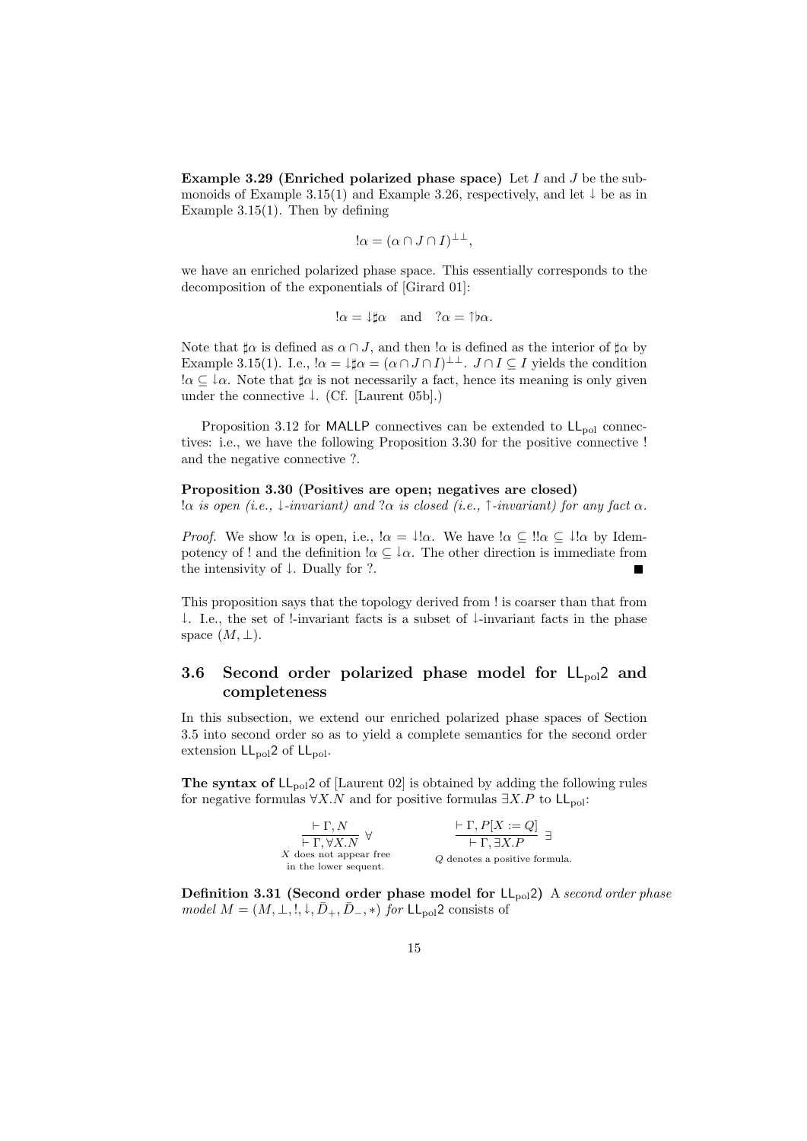**Example 3.29 (Enriched polarized phase space)** Let *I* and *J* be the submonoids of Example 3.15(1) and Example 3.26, respectively, and let *↓* be as in Example 3.15(1). Then by defining

$$
!\alpha = (\alpha \cap J \cap I)^{\perp \perp},
$$

we have an enriched polarized phase space. This essentially corresponds to the decomposition of the exponentials of [Girard 01]:

$$
\alpha = \downarrow \sharp \alpha
$$
 and  $\alpha = \uparrow \flat \alpha$ .

Note that  $\sharp \alpha$  is defined as  $\alpha \cap J$ , and then  $\alpha$  is defined as the interior of  $\sharp \alpha$  by Example 3.15(1). I.e.,  $\alpha = \downarrow \sharp \alpha = (\alpha \cap J \cap I)^{\perp \perp}$ .  $J \cap I \subseteq I$  yields the condition  $\alpha \subset \alpha$ . Note that  $\alpha$  is not necessarily a fact, hence its meaning is only given under the connective *↓*. (Cf. [Laurent 05b].)

Proposition 3.12 for MALLP connectives can be extended to  $LL_{pol}$  connectives: i.e., we have the following Proposition 3.30 for the positive connective ! and the negative connective ?.

#### **Proposition 3.30 (Positives are open; negatives are closed)**

!*α is open (i.e., ↓-invariant) and* ?*α is closed (i.e., ↑-invariant) for any fact α.*

*Proof.* We show  $\alpha$  is open, i.e.,  $\alpha = \iota \alpha$ . We have  $\alpha \in \alpha$ .  $\alpha \in \iota \alpha$  by Idempotency of ! and the definition  $\alpha \subseteq \alpha$ . The other direction is immediate from the intensivity of *↓*. Dually for ?.

This proposition says that the topology derived from ! is coarser than that from *↓*. I.e., the set of !-invariant facts is a subset of *↓*-invariant facts in the phase space  $(M, \perp)$ .

# **3.6 Second order polarized phase model for**  $LL_{pol}$  **and completeness**

In this subsection, we extend our enriched polarized phase spaces of Section 3.5 into second order so as to yield a complete semantics for the second order extension  $LL_{pol}2$  of  $LL_{pol}$ .

**The syntax of**  $LL_{\text{pol}}2$  of [Laurent 02] is obtained by adding the following rules for negative formulas  $\forall X. N$  and for positive formulas  $\exists X. P$  to  $\mathsf{LL}_{\text{pol}}$ :

| $\vdash \Gamma, N$                      | $\vdash \Gamma, P[X := Q]$    |
|-----------------------------------------|-------------------------------|
| $\overline{\vdash \Gamma,\forall X. N}$ | $\vdash \Gamma$ . EX.P        |
| $X$ does not appear free                | Q denotes a positive formula. |
| in the lower sequent.                   |                               |

**Definition 3.31 (Second order phase model for** LLpol2**)** A *second order phase model*  $M = (M, \perp, !, \downarrow, \bar{D}_+, \bar{D}_-, *)$  *for* LL<sub>pol</sub>2 consists of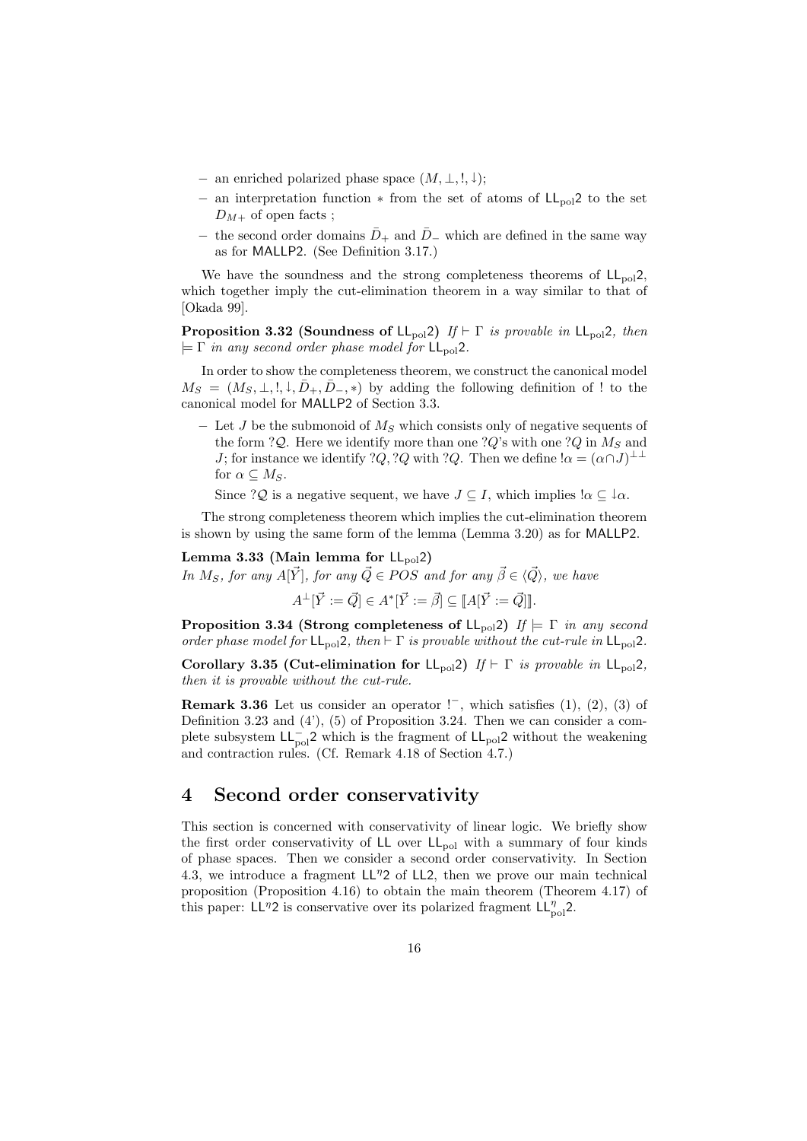- *−* an enriched polarized phase space (*M, ⊥,* !*, ↓*);
- *−* an interpretation function *∗* from the set of atoms of LL<sub>pol</sub>2 to the set  $D_{M+}$  of open facts ;
- − the second order domains  $\bar{D}_+$  and  $\bar{D}_-$  which are defined in the same way as for MALLP2. (See Definition 3.17.)

We have the soundness and the strong completeness theorems of  $LL_{pol}2$ , which together imply the cut-elimination theorem in a way similar to that of [Okada 99].

**Proposition 3.32 (Soundness of**  $L_{pol}$ **2)** *If*  $\vdash \Gamma$  *is provable in*  $L_{pol}$ 2*, then*  $\models \Gamma$  *in any second order phase model for*  $LL_{\text{pol}}2$ *.* 

In order to show the completeness theorem, we construct the canonical model  $M_S = (M_S, \perp, !, \downarrow, \bar{D}_+, \bar{D}_-, *)$  by adding the following definition of ! to the canonical model for MALLP2 of Section 3.3.

*−* Let *J* be the submonoid of *M<sup>S</sup>* which consists only of negative sequents of the form ?*Q*. Here we identify more than one ?*Q*'s with one ?*Q* in  $M_S$  and *J*; for instance we identify ?*Q*, ?*Q* with ?*Q*. Then we define  $\alpha = (\alpha \cap J)^{\perp \perp}$ for  $\alpha \subseteq M_S$ .

Since ?*Q* is a negative sequent, we have  $J \subseteq I$ , which implies  $\alpha \subseteq \alpha$ .

The strong completeness theorem which implies the cut-elimination theorem is shown by using the same form of the lemma (Lemma 3.20) as for MALLP2.

Lemma 3.33 (Main lemma for  $LL_{pol}2$ )

*In*  $M_S$ *, for any*  $A[\vec{Y}]$ *, for any*  $\vec{Q} \in POS$  *and for any*  $\vec{\beta} \in \langle \vec{Q} \rangle$ *, we have* 

 $A^{\perp}[\vec{Y} := \vec{Q}] \in A^*[\vec{Y} := \vec{\beta}] \subseteq [A[\vec{Y} := \vec{Q}]]$ .

**Proposition 3.34 (Strong completeness of**  $LL_{pol}2$ **)** *If*  $\models \Gamma$  *in any second order phase model for*  $LL_{pol}2$ *, then*  $\vdash \Gamma$  *is provable without the cut-rule in*  $LL_{pol}2$ *.* 

**Corollary 3.35 (Cut-elimination for LL**<sub>pol</sub>2) *If*  $\vdash \Gamma$  *is provable in* LL<sub>pol</sub>2, *then it is provable without the cut-rule.*

**Remark 3.36** Let us consider an operator  $\cdot$ <sup>−</sup>, which satisfies (1), (2), (3) of Definition 3.23 and (4'), (5) of Proposition 3.24. Then we can consider a complete subsystem LL<sub>pol</sub>2 which is the fragment of LL<sub>pol</sub>2 without the weakening and contraction rules. (Cf. Remark 4.18 of Section 4.7.)

# **4 Second order conservativity**

This section is concerned with conservativity of linear logic. We briefly show the first order conservativity of  $LL$  over  $LL_{pol}$  with a summary of four kinds of phase spaces. Then we consider a second order conservativity. In Section 4.3, we introduce a fragment LL*<sup>η</sup>*2 of LL2, then we prove our main technical proposition (Proposition 4.16) to obtain the main theorem (Theorem 4.17) of this paper: LL<sup>η</sup>2 is conservative over its polarized fragment LL<sub>n<sup>o1</sup></sub>2.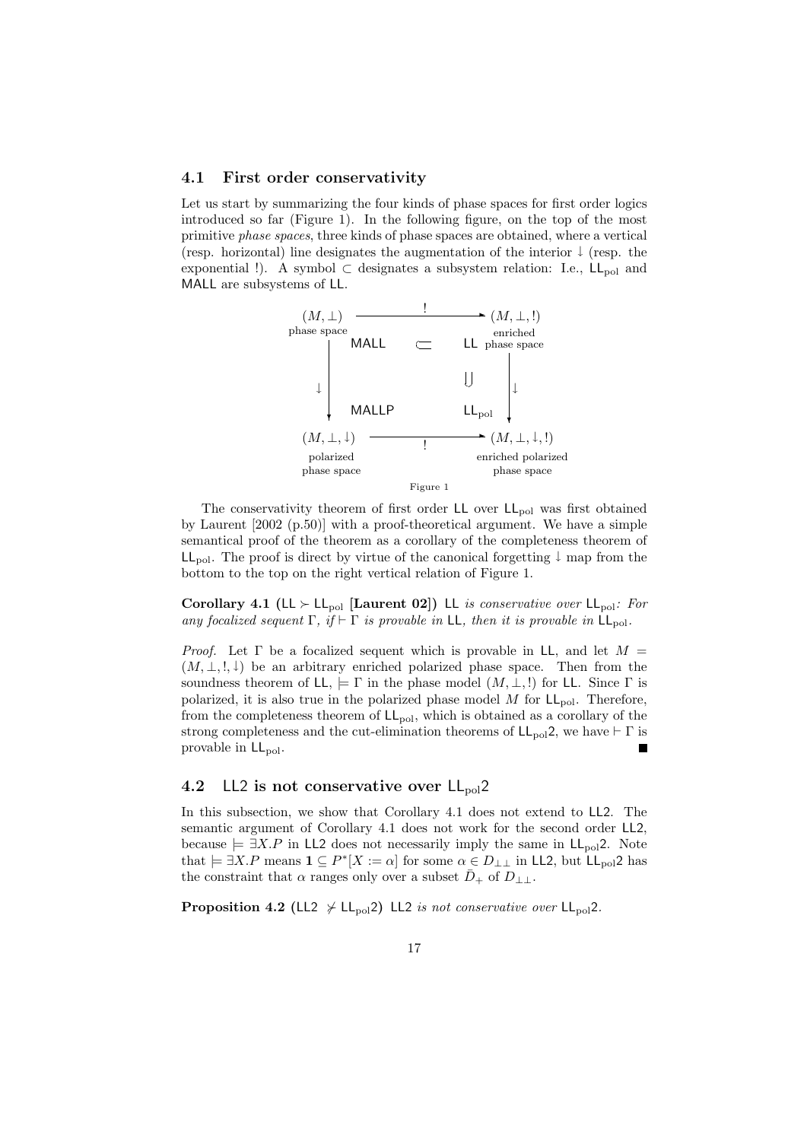#### **4.1 First order conservativity**

Let us start by summarizing the four kinds of phase spaces for first order logics introduced so far (Figure 1). In the following figure, on the top of the most primitive *phase spaces*, three kinds of phase spaces are obtained, where a vertical (resp. horizontal) line designates the augmentation of the interior *↓* (resp. the exponential !). A symbol  $\subset$  designates a subsystem relation: I.e.,  $\mathsf{LL}_{pol}$  and MALL are subsystems of LL.



The conservativity theorem of first order  $LL$  over  $LL_{pol}$  was first obtained by Laurent [2002 (p.50)] with a proof-theoretical argument. We have a simple semantical proof of the theorem as a corollary of the completeness theorem of LLpol. The proof is direct by virtue of the canonical forgetting *↓* map from the bottom to the top on the right vertical relation of Figure 1.

**Corollary 4.1 (LL** *≻* **LL<sub>pol</sub> [Laurent 02]) LL** *is conservative over* LL<sub>pol</sub>: For *any focalized sequent*  $\Gamma$ *, if*  $\vdash \Gamma$  *is provable in* LL*, then it is provable in* LL<sub>pol</sub>.

*Proof.* Let  $\Gamma$  be a focalized sequent which is provable in LL, and let  $M =$  $(M, \perp, !, \downarrow)$  be an arbitrary enriched polarized phase space. Then from the soundness theorem of  $LL$ ,  $\models \Gamma$  in the phase model  $(M, \perp, !)$  for LL. Since  $\Gamma$  is polarized, it is also true in the polarized phase model  $M$  for  $LL_{pol}$ . Therefore, from the completeness theorem of  $LL_{pol}$ , which is obtained as a corollary of the strong completeness and the cut-elimination theorems of  $LL_{pol}2$ , we have  $\vdash \Gamma$  is provable in  $LL_{pol}$ .  $\blacksquare$ 

## **4.2** LL2 is not conservative over  $L_{\text{pol}}$ ?

In this subsection, we show that Corollary 4.1 does not extend to LL2. The semantic argument of Corollary 4.1 does not work for the second order LL2, because  $\models \exists X.P$  in LL2 does not necessarily imply the same in  $LL_{pol}$ 2. Note that  $\models \exists X.P$  means  $\mathbf{1} \subseteq P^*[X := \alpha]$  for some  $\alpha \in D_{\perp\perp}$  in LL2, but LL<sub>pol</sub>2 has the constraint that  $\alpha$  ranges only over a subset  $D_+$  of  $D_{\perp\perp}$ .

**Proposition 4.2** (LL2  $\nsucc$  LL<sub>pol</sub>2) LL2 *is not conservative over* LL<sub>pol</sub>2.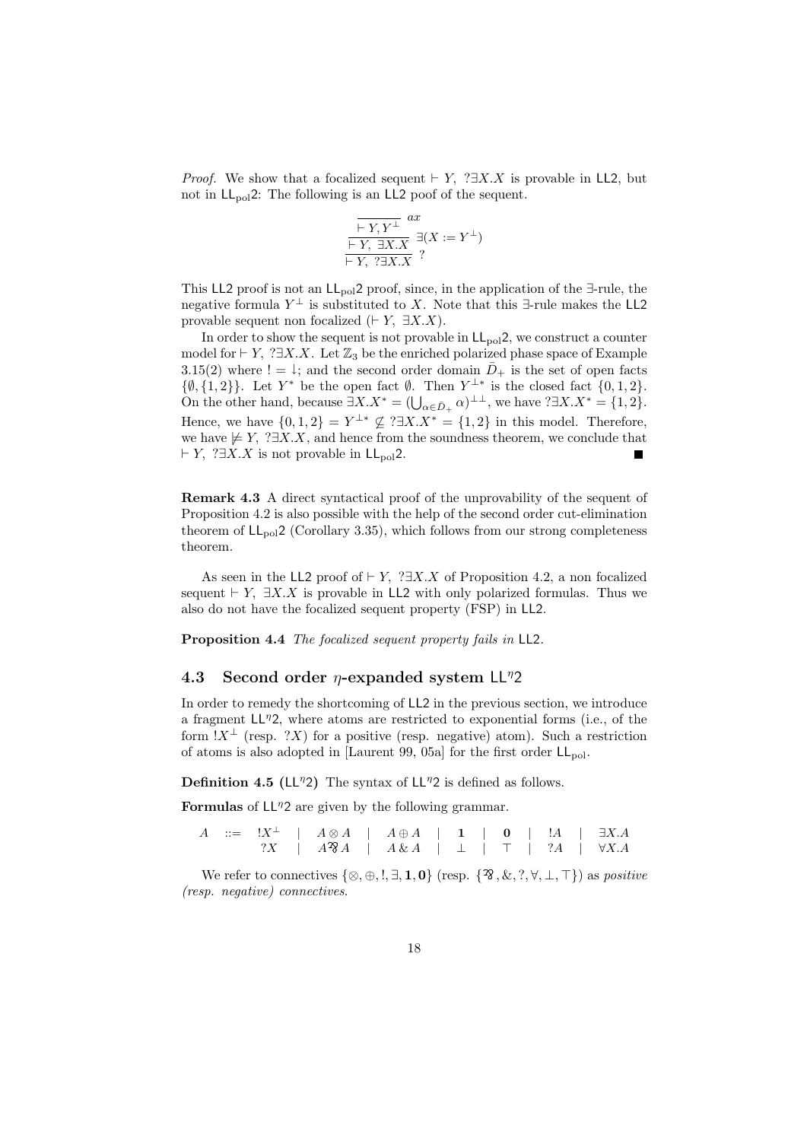*Proof.* We show that a focalized sequent  $\vdash Y$ , ? $\exists X.X$  is provable in LL2, but not in  $LL_{pol}2$ : The following is an LL2 poof of the sequent.

$$
\frac{\overline{\vdash Y, Y^{\perp}}^{ax}}{\overline{\vdash Y, \exists X.X}} \exists (X := Y^{\perp})
$$
  

$$
\overline{\vdash Y, ?\exists X.X} ?
$$

This LL2 proof is not an LLpol2 proof, since, in the application of the *∃*-rule, the negative formula  $Y^{\perp}$  is substituted to *X*. Note that this  $\exists$ -rule makes the LL2 provable sequent non focalized  $(FY, \exists X.X)$ .

In order to show the sequent is not provable in  $LL_{\text{pol}}2$ , we construct a counter model for *⊦ Y*,  $?∃X.X$ . Let  $\mathbb{Z}_3$  be the enriched polarized phase space of Example 3.15(2) where  $!= \downarrow$ ; and the second order domain  $\overline{D}_{+}$  is the set of open facts *{0,* {1*,* 2}}. Let *Y*<sup>∗</sup> be the open fact *Ø*. Then *Y*<sup>⊥∗</sup> is the closed fact {0*,* 1*,* 2}. On the other hand, because  $\exists X.X^* = (\bigcup_{\alpha \in \bar{D}_+} \alpha)^{\perp \perp}$ , we have  $? \exists X.X^* = \{1, 2\}$ . Hence, we have  $\{0,1,2\} = Y^{\perp *} \nsubseteq ?\exists X.X^* = \{1,2\}$  in this model. Therefore, we have  $\notin Y$ , ? $\exists X.X$ , and hence from the soundness theorem, we conclude that *⊢ Y*, ?∃*X.X* is not provable in LL<sub>pol</sub>2.  $\blacksquare$ 

**Remark 4.3** A direct syntactical proof of the unprovability of the sequent of Proposition 4.2 is also possible with the help of the second order cut-elimination theorem of  $LL_{pol}2$  (Corollary 3.35), which follows from our strong completeness theorem.

As seen in the LL2 proof of *⊢ Y,* ?*∃X.X* of Proposition 4.2, a non focalized sequent  $\vdash Y$ ,  $\exists X.X$  is provable in LL2 with only polarized formulas. Thus we also do not have the focalized sequent property (FSP) in LL2.

**Proposition 4.4** *The focalized sequent property fails in* LL2*.*

## **4.3 Second order** *η***-expanded system** LL*<sup>η</sup>*2

In order to remedy the shortcoming of LL2 in the previous section, we introduce a fragment LL*<sup>η</sup>*2, where atoms are restricted to exponential forms (i.e., of the form  $!X^{\perp}$  (resp. ?*X*) for a positive (resp. negative) atom). Such a restriction of atoms is also adopted in [Laurent 99, 05a] for the first order  $LL_{pol}$ .

**Definition 4.5 (**LL*<sup>η</sup>*2**)** The syntax of LL*<sup>η</sup>*2 is defined as follows.

**Formulas** of  $LI<sup>7</sup>2$  are given by the following grammar.

|  |  |  | $A \cong \mathbb{R}^{\perp}$   $A \otimes A$   $A \oplus A$   1   0   $!A$   $\exists X.A$ |  |  |  |  |
|--|--|--|--------------------------------------------------------------------------------------------|--|--|--|--|
|  |  |  | $?X$   $A^2\mathcal{A}$   $A \& A$   $\perp$   $\top$   $?A$   $\forall X.A$               |  |  |  |  |

We refer to connectives  $\{\otimes, \oplus, \ldots, \exists, 1, 0\}$  (resp.  $\{\mathfrak{B}, \& ,?, \forall, \bot, \top\}$ ) as *positive (resp. negative) connectives*.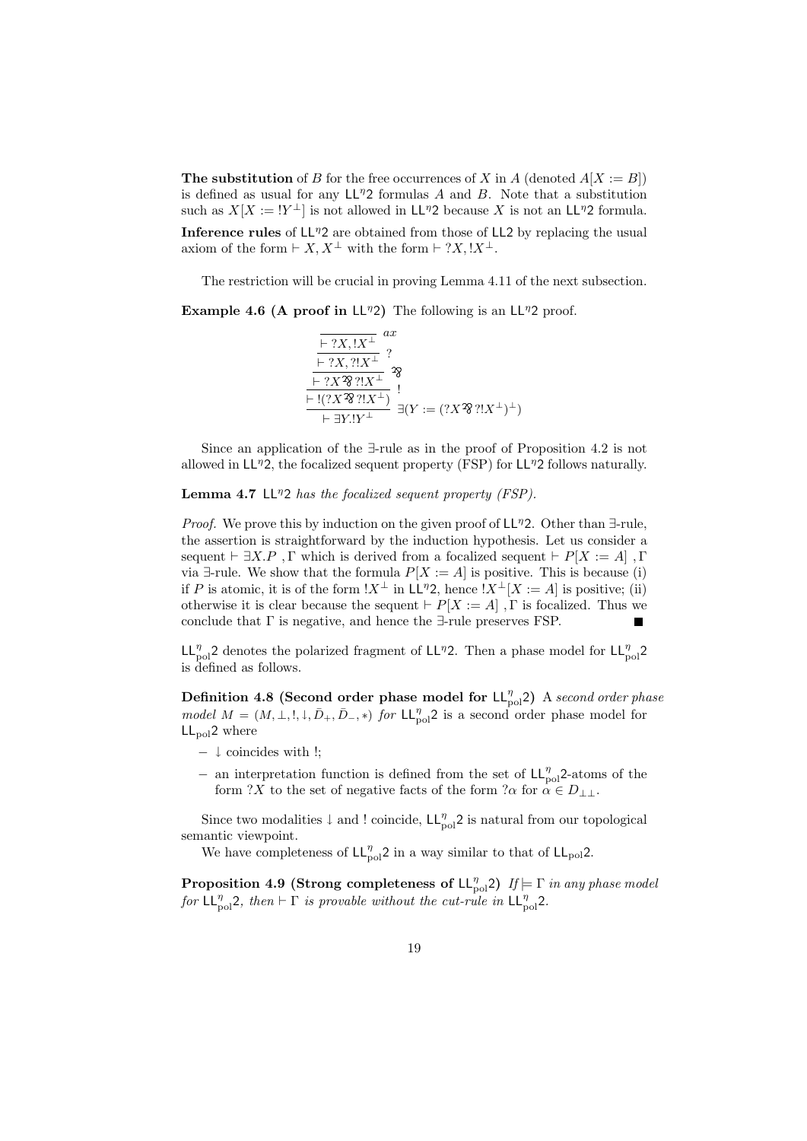**The substitution** of *B* for the free occurrences of *X* in *A* (denoted  $A[X := B]$ ) is defined as usual for any LL*<sup>η</sup>*2 formulas *A* and *B*. Note that a substitution such as  $X[X := |Y^{\perp}]$  is not allowed in LL<sup>η</sup>2 because X is not an LL<sup>η</sup>2 formula. **Inference rules** of  $\mathsf{LL}^{\eta}2$  are obtained from those of  $\mathsf{LL}2$  by replacing the usual axiom of the form  $\vdash$  *X, X*<sup>⊥</sup> with the form  $\vdash$  ?*X,* !*X*<sup>⊥</sup>.

The restriction will be crucial in proving Lemma 4.11 of the next subsection.

**Example 4.6 (A proof in**  $LL^{\eta}2$ **)** The following is an  $LL^{\eta}2$  proof.

$$
\frac{\overline{\vdash ?X, !X^{\perp}}^{\perp} \overset{ax}{\vdash ?X, ?!X^{\perp}} ?}{\overline{\vdash ?X \mathcal{R} \mathcal{R} \mathcal{R} \mathcal{R} \mathcal{R} \mathcal{R}}^{\perp} \mathcal{R}} \mathcal{R}
$$
\n
$$
\frac{\overline{\vdash ?X \mathcal{R} \mathcal{R} \mathcal{R} \mathcal{R} \mathcal{R} \mathcal{R} \mathcal{R} \mathcal{R}}^{\perp} \mathcal{R}}}{\vdash \exists Y \mathcal{R} \mathcal{R} \mathcal{R} \mathcal{R} \mathcal{R} \mathcal{R}}^{\perp} \exists (Y := (?X \mathcal{R} \mathcal{R} \mathcal{R} \mathcal{R} \mathcal{R} \mathcal{R} \mathcal{R} \mathcal{R} \mathcal{R} \mathcal{R} \mathcal{R} \mathcal{R} \mathcal{R} \mathcal{R} \mathcal{R} \mathcal{R} \mathcal{R} \mathcal{R} \mathcal{R} \mathcal{R} \mathcal{R} \mathcal{R} \mathcal{R} \mathcal{R} \mathcal{R} \mathcal{R} \mathcal{R} \mathcal{R} \mathcal{R} \mathcal{R} \mathcal{R} \mathcal{R} \mathcal{R} \mathcal{R} \mathcal{R} \mathcal{R} \mathcal{R} \mathcal{R} \mathcal{R} \mathcal{R} \mathcal{R} \mathcal{R} \mathcal{R} \mathcal{R} \mathcal{R} \mathcal{R} \mathcal{R} \mathcal{R} \mathcal{R} \mathcal{R} \mathcal{R} \mathcal{R} \mathcal{R} \mathcal{R} \mathcal{R} \mathcal{R} \mathcal{R} \mathcal{R} \mathcal{R} \mathcal{R} \mathcal{R} \mathcal{R} \mathcal{R} \mathcal{R} \mathcal{R} \mathcal{R} \mathcal{R} \mathcal{R} \mathcal{R} \mathcal{R} \mathcal{R} \mathcal{R} \mathcal{R} \mathcal{R} \mathcal{R} \mathcal{R} \mathcal{R} \mathcal{R} \mathcal{R} \mathcal{R} \mathcal{R} \mathcal{R} \mathcal{R} \mathcal{R} \mathcal{R} \mathcal{R} \mathcal{R
$$

Since an application of the *∃*-rule as in the proof of Proposition 4.2 is not allowed in LL*<sup>η</sup>*2, the focalized sequent property (FSP) for LL*<sup>η</sup>*2 follows naturally.

**Lemma 4.7** LL*<sup>η</sup>*2 *has the focalized sequent property (FSP).*

*Proof.* We prove this by induction on the given proof of LL*<sup>η</sup>*2. Other than *∃*-rule, the assertion is straightforward by the induction hypothesis. Let us consider a sequent  $\vdash \exists X.P$ ,  $\Gamma$  which is derived from a focalized sequent  $\vdash P[X := A]$ ,  $\Gamma$ via  $\exists$ -rule. We show that the formula  $P[X := A]$  is positive. This is because (i) if *P* is atomic, it is of the form  $!X^{\perp}$  in LL<sup>η</sup>2, hence  $|X^{\perp}|X:=A|$  is positive; (ii) otherwise it is clear because the sequent  $\vdash P[X := A]$ ,  $\Gamma$  is focalized. Thus we conclude that Γ is negative, and hence the *∃*-rule preserves FSP.

LL<sup>η</sup><sub>pol</sub>2 denotes the polarized fragment of LL<sup>η</sup>2. Then a phase model for LL<sup>η</sup><sub>pol</sub>2 is defined as follows.

**Definition 4.8 (Second order phase model for**  $LL_{pol}^{\eta}$ **2)** A *second order phase model*  $M = (M, \perp, \ldots, \perp, \bar{D}_+, \bar{D}_-, *)$  *for* LL<sub>pol</sub><sub>2</sub> is a second order phase model for  $LL_{pol}2$  where

- *− ↓* coincides with !;
- *−* an interpretation function is defined from the set of LL<sub>pol</sub><sup>2</sup>-atoms of the form ?*X* to the set of negative facts of the form ? $\alpha$  for  $\alpha \in D_{\perp\perp}$ .

Since two modalities  $\downarrow$  and ! coincide,  $\mathsf{LL}_{pol}^{\eta}$  is natural from our topological semantic viewpoint.

We have completeness of  $LL_{pol}^{\eta}$ 2 in a way similar to that of  $LL_{pol}$ 2.

**Proposition 4.9 (Strong completeness of**  $L_{pol}^{\eta}$ **)**  $I_f \models \Gamma$  *in any phase model for*  $LL_{pol}^{\eta}$ 2, then  $\vdash \Gamma$  *is provable without the cut-rule in*  $LL_{pol}^{\eta}$ 2.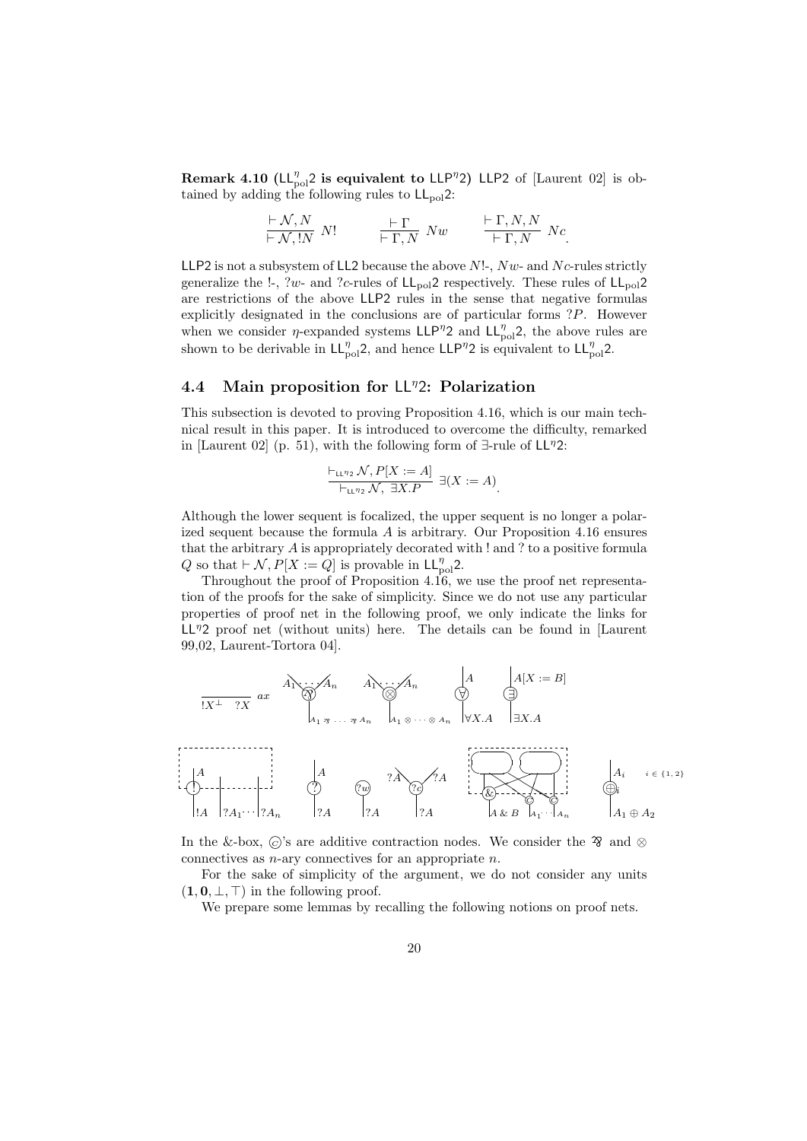**Remark 4.10 (** $LL_{pol}^{\eta}$ **) is equivalent to**  $LLP^{\eta}$ **) LLP2 of [Laurent 02] is ob**tained by adding the following rules to  $LL_{pol}2$ :

$$
\frac{\vdash \mathcal{N}, N}{\vdash \mathcal{N}, !N} N! \qquad \frac{\vdash \Gamma}{\vdash \Gamma, N} Nw \qquad \frac{\vdash \Gamma, N, N}{\vdash \Gamma, N} Nc.
$$

LLP2 is not a subsystem of LL2 because the above *N*!-, *Nw*- and *N c*-rules strictly generalize the  $!$ -, ?w- and ?c-rules of  $LL_{pol}$ ? respectively. These rules of  $LL_{pol}$ ? are restrictions of the above LLP2 rules in the sense that negative formulas explicitly designated in the conclusions are of particular forms ?*P*. However when we consider *η*-expanded systems  $LLP^{\eta}2$  and  $LL_{pol}^{\eta}2$ , the above rules are shown to be derivable in  $LL_{pol}^{\eta}$ 2, and hence  $LLP^{\eta}$ 2 is equivalent to  $LL_{pol}^{\eta}$ 2.

### **4.4 Main proposition for** LL*<sup>η</sup>*2**: Polarization**

This subsection is devoted to proving Proposition 4.16, which is our main technical result in this paper. It is introduced to overcome the difficulty, remarked in [Laurent 02] (p. 51), with the following form of *∃*-rule of LL*<sup>η</sup>*2:

$$
\frac{\vdash_{\mathsf{LL}^{\eta_2}} \mathcal{N}, P[X := A]}{\vdash_{\mathsf{LL}^{\eta_2}} \mathcal{N}, \exists X.P} \exists (X := A).
$$

Although the lower sequent is focalized, the upper sequent is no longer a polarized sequent because the formula *A* is arbitrary. Our Proposition 4.16 ensures that the arbitrary *A* is appropriately decorated with ! and ? to a positive formula *Q* so that *⊦ N*,  $P[X := Q]$  is provable in LL $_{\text{pol}}^{\eta}$ 2.

Throughout the proof of Proposition 4.16, we use the proof net representation of the proofs for the sake of simplicity. Since we do not use any particular properties of proof net in the following proof, we only indicate the links for LL*<sup>η</sup>*2 proof net (without units) here. The details can be found in [Laurent 99,02, Laurent-Tortora 04].



In the &-box,  $\odot$ 's are additive contraction nodes. We consider the  $\mathcal{R}$  and  $\otimes$ connectives as *n*-ary connectives for an appropriate *n*.

For the sake of simplicity of the argument, we do not consider any units  $(1, 0, \bot, \top)$  in the following proof.

We prepare some lemmas by recalling the following notions on proof nets.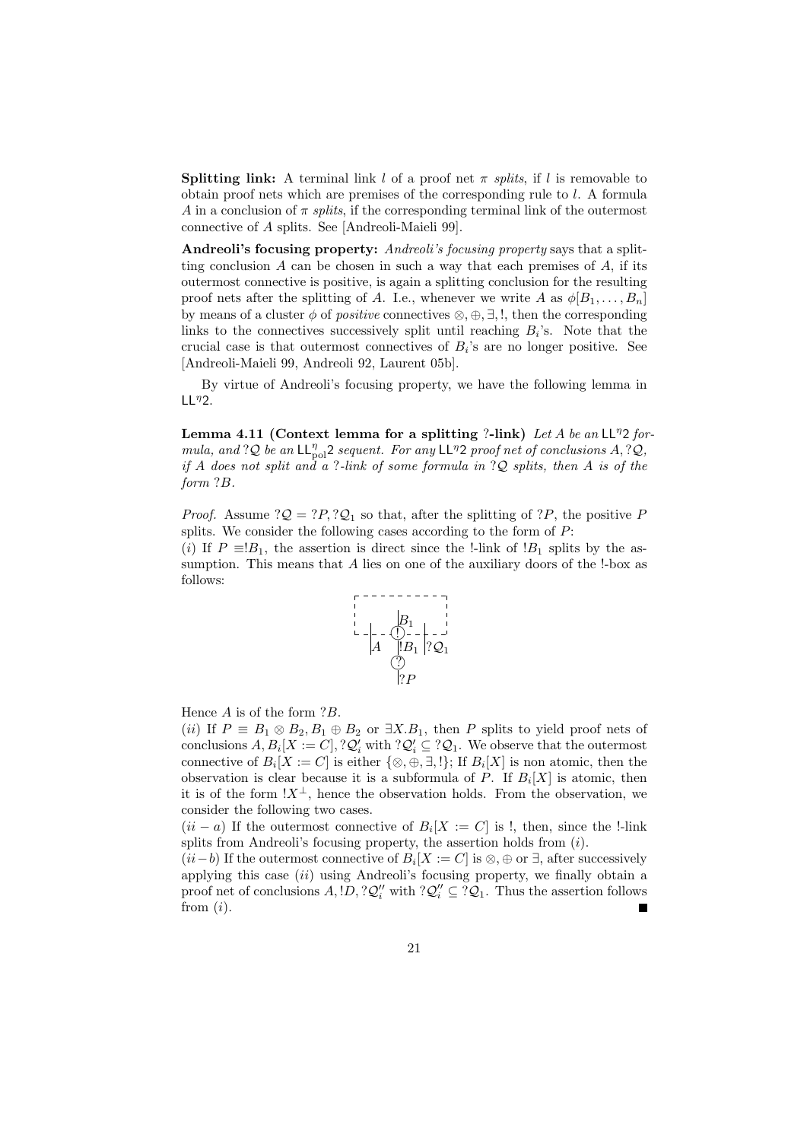**Splitting link:** A terminal link *l* of a proof net  $\pi$  *splits*, if *l* is removable to obtain proof nets which are premises of the corresponding rule to *l*. A formula *A* in a conclusion of  $\pi$  *splits*, if the corresponding terminal link of the outermost connective of *A* splits. See [Andreoli-Maieli 99].

**Andreoli's focusing property:** *Andreoli's focusing property* says that a splitting conclusion  $A$  can be chosen in such a way that each premises of  $A$ , if its outermost connective is positive, is again a splitting conclusion for the resulting proof nets after the splitting of *A*. I.e., whenever we write *A* as  $\phi[B_1, \ldots, B_n]$ by means of a cluster *φ* of *positive* connectives *⊗, ⊕, ∃,* !, then the corresponding links to the connectives successively split until reaching  $B_i$ 's. Note that the crucial case is that outermost connectives of  $B_i$ 's are no longer positive. See [Andreoli-Maieli 99, Andreoli 92, Laurent 05b].

By virtue of Andreoli's focusing property, we have the following lemma in LL*<sup>η</sup>*2.

**Lemma 4.11 (Context lemma for a splitting** ?**-link)** *Let A be an* LL*<sup>η</sup>*2 *formula, and* ?*Q be an*  $LL_{pol}^{\eta}2$  *sequent. For any*  $LL^{\eta}2$  *proof net of conclusions*  $A$ , ?*Q*, *if A does not split and a* ?*-link of some formula in* ?*Q splits, then A is of the form* ?*B.*

*Proof.* Assume  $?Q = ?P$ ,  $?Q_1$  so that, after the splitting of  $?P$ , the positive *P* splits. We consider the following cases according to the form of *P*:

(*i*) If  $P \equiv B_1$ , the assertion is direct since the !-link of  $B_1$  splits by the assumption. This means that *A* lies on one of the auxiliary doors of the !-box as follows:



Hence *A* is of the form ?*B*.

(*ii*) If  $P \equiv B_1 \otimes B_2, B_1 \oplus B_2$  or  $\exists X.B_1$ , then *P* splits to yield proof nets of conclusions  $A, B_i[X := C]$ ,  $?Q'_i$  with  $?Q'_i \subseteq ?Q_1$ . We observe that the outermost connective of  $B_i[X := C]$  is either  $\{\otimes, \oplus, \exists, !\}$ ; If  $B_i[X]$  is non atomic, then the observation is clear because it is a subformula of  $P$ . If  $B_i[X]$  is atomic, then it is of the form  $!X^{\perp}$ , hence the observation holds. From the observation, we consider the following two cases.

 $(ii - a)$  If the outermost connective of  $B_i[X := C]$  is !, then, since the !-link splits from Andreoli's focusing property, the assertion holds from (*i*).

 $(ii - b)$  If the outermost connective of  $B_i[X := C]$  is ⊗, ⊕ or  $\exists$ , after successively applying this case (*ii*) using Andreoli's focusing property, we finally obtain a proof net of conclusions  $A$ ,  $D$ ,  $?Q''_i$  with  $?Q''_i \subseteq ?Q_1$ . Thus the assertion follows from (*i*). п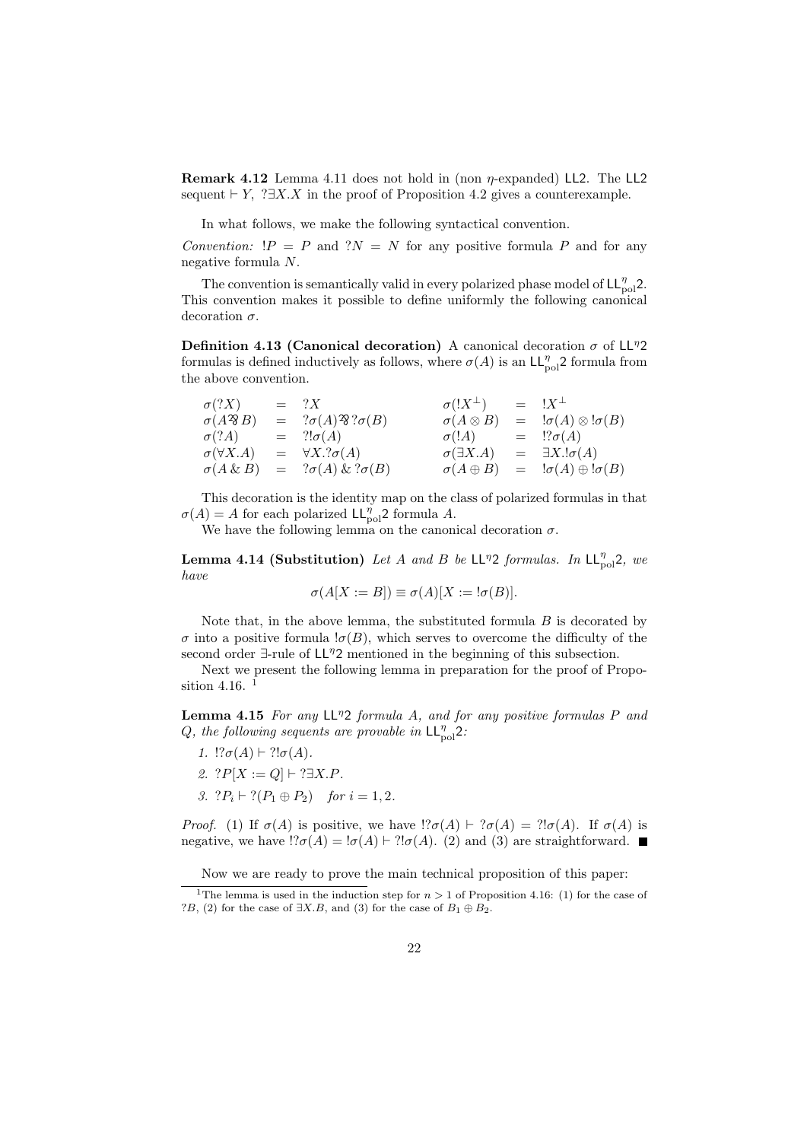**Remark 4.12** Lemma 4.11 does not hold in (non *η*-expanded) LL2. The LL2 sequent  $\vdash Y$ , ? $\exists X.X$  in the proof of Proposition 4.2 gives a counterexample.

In what follows, we make the following syntactical convention.

*Convention:*  $!P = P$  and  $?N = N$  for any positive formula P and for any negative formula *N*.

The convention is semantically valid in every polarized phase model of  $LL_{pol}^{\eta}2$ . This convention makes it possible to define uniformly the following canonical decoration *σ*.

**Definition 4.13 (Canonical decoration)** A canonical decoration  $\sigma$  of  $L^p2$ formulas is defined inductively as follows, where  $\sigma(A)$  is an  $\mathsf{LL}_{pol}^{\eta}$ 2 formula from the above convention.

| $\sigma$ (?X)           | $= ?X$                                 | $\sigma(!X^{\perp})$  | $=$ $!X^{\perp}$                                    |
|-------------------------|----------------------------------------|-----------------------|-----------------------------------------------------|
| $\sigma(A\mathcal{B}B)$ | $= ?\sigma(A) \mathfrak{B} ?\sigma(B)$ | $\sigma(A\otimes B)$  | $= \mathbb{I}\sigma(A) \otimes \mathbb{I}\sigma(B)$ |
| $\sigma$ (?A)           | $= ?! \sigma(A)$                       | $\sigma$ (!A)         | $=$ $\mathcal{R}\sigma(A)$                          |
| $\sigma(\forall X.A)$   | $= \forall X . ? \sigma(A)$            | $\sigma(\exists X.A)$ | $= \exists X \cdot \sigma(A)$                       |
| $\sigma(A \& B)$        | $= ?\sigma(A) \& ?\sigma(B)$           | $\sigma(A\oplus B)$   | $= \mathsf{I}\sigma(A) \oplus \mathsf{I}\sigma(B)$  |

This decoration is the identity map on the class of polarized formulas in that  $\sigma(A) = A$  for each polarized  $\mathsf{LL}_{pol}^{\eta}$ 2 formula *A*.

We have the following lemma on the canonical decoration  $\sigma$ .

**Lemma 4.14 (Substitution)** *Let A and B be*  $LL^{\eta}2$  *formulas. In*  $LL_{pol}^{\eta}2$ *, we have*

$$
\sigma(A[X := B]) \equiv \sigma(A)[X := !\sigma(B)].
$$

Note that, in the above lemma, the substituted formula *B* is decorated by  $\sigma$  into a positive formula  $\sigma(B)$ , which serves to overcome the difficulty of the second order *∃*-rule of LL*<sup>η</sup>*2 mentioned in the beginning of this subsection.

Next we present the following lemma in preparation for the proof of Proposition 4.16.<sup>1</sup>

**Lemma 4.15** *For any* LL*<sup>η</sup>*2 *formula A, and for any positive formulas P and Q*, the following sequents are provable in  $LL_{pol}^{\eta}$ ?

- *1.*  $!?σ(A) ⊢ ?!σ(A)$ *.*
- *2.*  $?P[X := Q]$  *⊢* ?*∃X.P.*
- *3.*  $?P_i \vdash ?(P_1 \oplus P_2)$  *for*  $i = 1, 2$ *.*

*Proof.* (1) If  $\sigma(A)$  is positive, we have  $\sigma(A) \vdash ?\sigma(A) = ?! \sigma(A)$ . If  $\sigma(A)$  is negative, we have  $\Gamma$ *c* $(A) = \Gamma$ *σ* $(A) \vdash \Gamma$  $\Gamma$ *j* $\sigma$  $(A)$ . (2) and (3) are straightforward.

Now we are ready to prove the main technical proposition of this paper:

<sup>&</sup>lt;sup>1</sup>The lemma is used in the induction step for  $n > 1$  of Proposition 4.16: (1) for the case of ?*B*, (2) for the case of *∃X.B*, and (3) for the case of *B*<sup>1</sup> *⊕ B*2.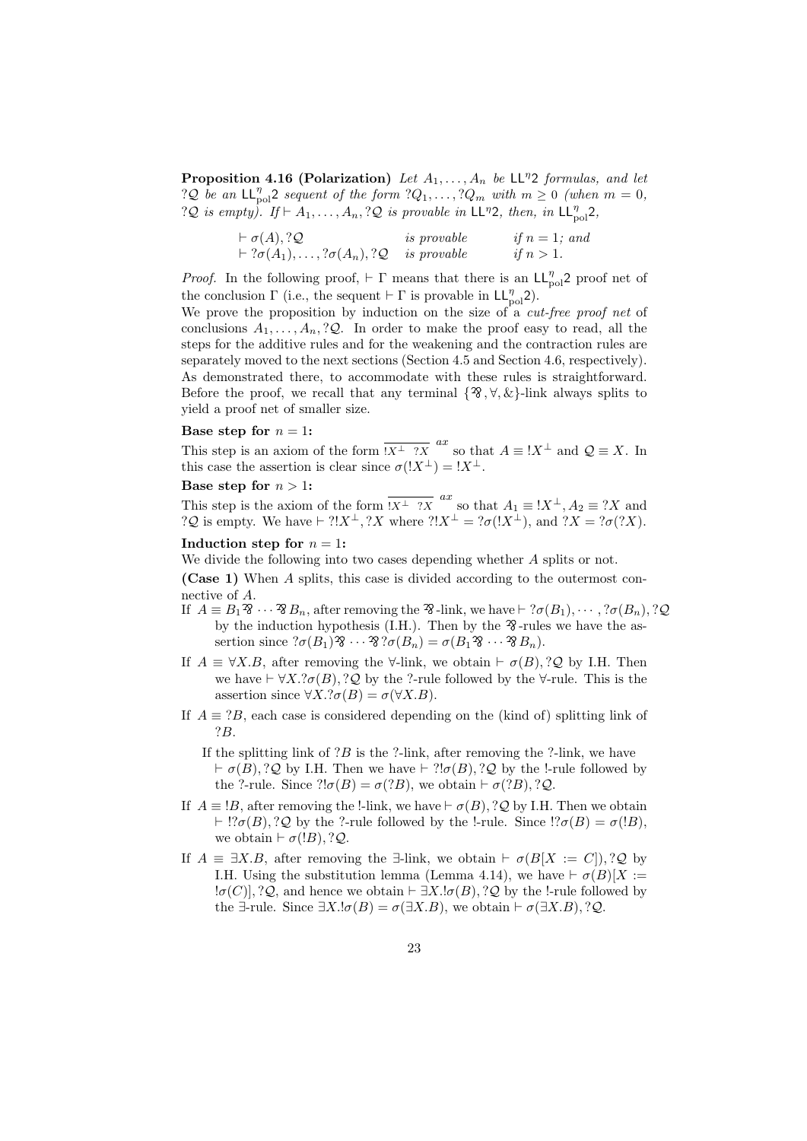**Proposition 4.16 (Polarization)** *Let A*1*, . . . , A<sup>n</sup> be* LL*<sup>η</sup>*2 *formulas, and let* ?*Q be an*  $\mathsf{LL}_{pol}^{\eta}2$  *sequent of the form* ?*Q*<sub>1</sub>*,...,* ?*Q<sub><i>m*</sub> *with*  $m \geq 0$  *(when*  $m = 0$ *,*  $?Q$  *is empty*). If  $\vdash A_1, \ldots, A_n, ?Q$  *is provable in* LL<sup>η</sup>2*, then, in* LL<sub>n<sup>o1</sub>2</sup>*,*</sub>

| $\vdash \sigma(A), ?\mathcal{Q}$                                      | <i>is</i> provable | if $n = 1$ ; and |
|-----------------------------------------------------------------------|--------------------|------------------|
| $\vdash ?\sigma(A_1), \ldots, ?\sigma(A_n), ?\mathcal{Q}$ is provable |                    | if $n>1$ .       |

*Proof.* In the following proof,  $\vdash \Gamma$  means that there is an LL<sub>*n*ol</sub>2 proof net of the conclusion  $\Gamma$  (i.e., the sequent  $\vdash \Gamma$  is provable in  $\mathsf{LL}_{pol}^{\eta}$ 2).

We prove the proposition by induction on the size of a *cut-free proof net* of conclusions  $A_1, \ldots, A_n, ?\mathcal{Q}$ . In order to make the proof easy to read, all the steps for the additive rules and for the weakening and the contraction rules are separately moved to the next sections (Section 4.5 and Section 4.6, respectively). As demonstrated there, to accommodate with these rules is straightforward. Before the proof, we recall that any terminal  $\{2, 8, 8\}$ -link always splits to yield a proof net of smaller size.

#### **Base step for**  $n = 1$ **:**

This step is an axiom of the form  $\overline{X^{\perp}$  ?*X* so that  $A \equiv !X^{\perp}$  and  $\mathcal{Q} \equiv X$ . In this case the assertion is clear since  $\sigma(!X^{\perp}) = !X^{\perp}$ .

#### **Base step for**  $n > 1$ :

This step is the axiom of the form  $\overline{X^{\perp}$  ?*X* as that  $A_1 \equiv !X^{\perp}, A_2 \equiv ?X$  and ?*Q* is empty. We have *⊢* ?!*X⊥,* ?*X* where ?!*X<sup>⊥</sup>* = ?*σ*(!*X⊥*), and ?*X* = ?*σ*(?*X*).

## **Induction step for**  $n = 1$ :

We divide the following into two cases depending whether *A* splits or not.

**(Case 1)** When *A* splits, this case is divided according to the outermost connective of *A*.

- If  $A \equiv B_1 \mathfrak{B} \cdots \mathfrak{B}_n$ , after removing the  $\mathfrak{B}$ -link, we have  $\vdash ?\sigma(B_1), \cdots, ?\sigma(B_n), ?\mathcal{Q}$ by the induction hypothesis (I.H.). Then by the  $\mathcal{X}$ -rules we have the assertion since  ${}^? \sigma(B_1) \mathfrak{B} \cdots \mathfrak{B} \mathfrak{B} \sigma(B_n) = \sigma(B_1 \mathfrak{B} \cdots \mathfrak{B} B_n).$
- If  $A \equiv \forall X.B$ , after removing the  $\forall$ -link, we obtain  $\vdash \sigma(B)$ , ?*Q* by I.H. Then we have  $\vdash \forall X.\,?\sigma(B),?\mathcal{Q}$  by the  $?$ -rule followed by the  $\forall$ -rule. This is the assertion since  $\forall X \cdot ?\sigma(B) = \sigma(\forall X \cdot B).$
- If  $A \equiv ?B$ , each case is considered depending on the (kind of) splitting link of ?*B*.
	- If the splitting link of ?*B* is the ?-link, after removing the ?-link, we have *⊦ σ*(*B*)*,* ?*Q* by I.H. Then we have *⊦* ?!*σ*(*B*)*,* ?*Q* by the !-rule followed by the ?-rule. Since  $?!\sigma(B) = \sigma(?B)$ , we obtain  $\vdash \sigma(?B), ?\mathcal{Q}$ .
- If  $A \equiv B$ , after removing the !-link, we have  $\vdash \sigma(B)$ , ?*Q* by I.H. Then we obtain  $⊢$  !?*σ*(*B*)*,* ?*Q* by the ?-rule followed by the !-rule. Since !?*σ*(*B*) = *σ*(!*B*), we obtain  $\vdash \sigma(!B), ?\mathcal{Q}.$
- If  $A \equiv \exists X.B$ , after removing the *∃*-link, we obtain  $\vdash \sigma(B[X := C]), ?\mathcal{Q}$  by I.H. Using the substitution lemma (Lemma 4.14), we have  $\vdash \sigma(B)[X :=$ !*σ*(*C*)]*,* ?*Q*, and hence we obtain *⊢ ∃X.*!*σ*(*B*)*,* ?*Q* by the !-rule followed by the  $\exists$ -rule. Since  $\exists X.\mathsf{I}\sigma(B) = \sigma(\exists X.B)$ , we obtain  $\vdash \sigma(\exists X.B), ?\mathcal{Q}$ .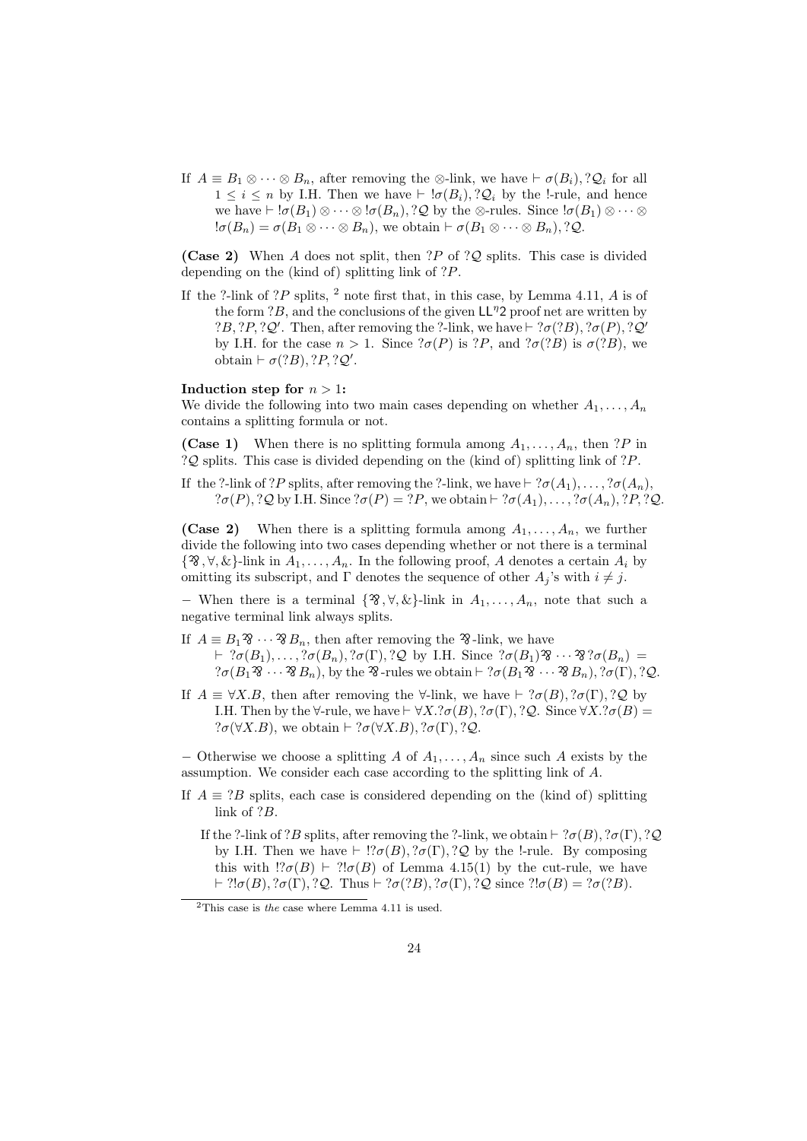If  $A \equiv B_1 \otimes \cdots \otimes B_n$ , after removing the  $\otimes$ -link, we have  $\vdash \sigma(B_i), ?\mathcal{Q}_i$  for all 1 *≤ i ≤ n* by I.H. Then we have *⊢* !*σ*(*Bi*)*,* ?*Q<sup>i</sup>* by the !-rule, and hence we have  $\vdash \text{!}\sigma(B_1) \otimes \cdots \otimes \text{!}\sigma(B_n)$ , ? $\mathcal{Q}$  by the  $\otimes$ -rules. Since  $\text{!}\sigma(B_1) \otimes \cdots \otimes$  $\sigma(B_n) = \sigma(B_1 \otimes \cdots \otimes B_n)$ , we obtain  $\vdash \sigma(B_1 \otimes \cdots \otimes B_n)$ , ? $\mathcal{Q}(B_n) = \sigma(B_1 \otimes \cdots \otimes B_n)$ 

**(Case 2)** When *A* does not split, then ?*P* of ?*Q* splits. This case is divided depending on the (kind of) splitting link of ?*P*.

If the ?-link of ?*P* splits, <sup>2</sup> note first that, in this case, by Lemma 4.11, *A* is of the form ?*B*, and the conclusions of the given LL*<sup>η</sup>*2 proof net are written by  $?B$ ,  $?P$ ,  $?Q'$ . Then, after removing the  $?$ -link, we have  $\vdash ?\sigma(?B)$ ,  $? \sigma(P)$ ,  $?Q'$ by I.H. for the case  $n > 1$ . Since  $?σ(P)$  is  $?P$ , and  $?σ(?B)$  is  $σ(?B)$ , we  $\text{obtain } \vdash \sigma(?B), ?P, ?Q'.$ 

### **Induction step for**  $n > 1$ :

We divide the following into two main cases depending on whether  $A_1, \ldots, A_n$ contains a splitting formula or not.

**(Case 1)** When there is no splitting formula among  $A_1, \ldots, A_n$ , then ?*P* in ?*Q* splits. This case is divided depending on the (kind of) splitting link of ?*P*.

If the ?-link of ?*P* splits, after removing the ?-link, we have  $\vdash$  ? $\sigma(A_1), \ldots, ?\sigma(A_n)$ ,  $? \sigma(P)$ *,*  $? \mathcal{Q}$  by I.H. Since  $? \sigma(P) = ?P$ , we obtain  $\vdash ?\sigma(A_1), \ldots, ?\sigma(A_n), ?P, ?\mathcal{Q}$ .

**(Case 2)** When there is a splitting formula among  $A_1, \ldots, A_n$ , we further divide the following into two cases depending whether or not there is a terminal  $\{\mathcal{X}, \forall, \&\}$ -link in  $\overline{A}_1, \ldots, A_n$ . In the following proof, *A* denotes a certain  $A_i$  by omitting its subscript, and  $\Gamma$  denotes the sequence of other  $A_j$ 's with  $i \neq j$ .

*−* When there is a terminal  $\{$   $\mathcal{R}, \forall, \&$ }-link in  $A_1, \ldots, A_n$ , note that such a negative terminal link always splits.

- If  $A \equiv B_1 \mathfrak{B} \cdots \mathfrak{B} B_n$ , then after removing the  $\mathfrak{B}$ -link, we have  $\vdash ?\sigma(B_1), \ldots, ?\sigma(B_n), ?\sigma(\Gamma), ?\mathcal{Q}$  by I.H. Since  $? \sigma(B_1) \mathfrak{B} \cdots \mathfrak{B} ?\sigma(B_n) =$  $? \sigma(B_1 \mathcal{B} \cdots \mathcal{B}_{n}),$  by the  $\mathcal{B}_{\text{-rules}}$  we obtain  $\vdash ? \sigma(B_1 \mathcal{B} \cdots \mathcal{B}_{n}), ? \sigma(\Gamma), ? \mathcal{Q}.$
- If  $A \equiv \forall X.B$ , then after removing the  $\forall$ -link, we have  $\vdash ?\sigma(B), ?\sigma(\Gamma), ?\mathcal{Q}$  by I.H. Then by the  $\forall$ -rule, we have  $\vdash \forall X.\text{?}\sigma(B), \text{?}\sigma(\Gamma), \text{?}\mathcal{Q}$ . Since  $\forall X.\text{?}\sigma(B)$  =  $? \sigma(\forall X.B)$ , we obtain  $\vdash ?\sigma(\forall X.B), ?\sigma(\Gamma), ?\mathcal{Q}.$

*−* Otherwise we choose a splitting *A* of *A*1*, . . . , A<sup>n</sup>* since such *A* exists by the assumption. We consider each case according to the splitting link of *A*.

If  $A \equiv ?B$  splits, each case is considered depending on the (kind of) splitting link of ?*B*.

If the ?-link of ?*B* splits, after removing the ?-link, we obtain  $\vdash$  ? $\sigma(B)$ *,* ? $\sigma(\Gamma)$ *,* ? $\mathcal{Q}$ by I.H. Then we have  $\vdash$  !? $\sigma(B)$ *,* ? $\sigma(\Gamma)$ *,* ? $\mathcal Q$  by the !-rule. By composing this with  $\left( \frac{?}{6}$ (*B*)  $\vdash ?! \sigma(B)$  of Lemma 4.15(1) by the cut-rule, we have *<i>⊦* $?!$ *σ* $($ *B* $)$ *,* $?$ *σ* $(Γ)$ *,* $?$ *Q* $. Thus$ *⊦* $?$ *σ* $(?$ *B* $)$ *,* $?$ *σ* $(Γ)$ *,* $?$ *Q* $since ?!$ *σ* $($ *B* $) = ?$ *σ* $(?$ *B* $).$ 

<sup>2</sup>This case is *the* case where Lemma 4.11 is used.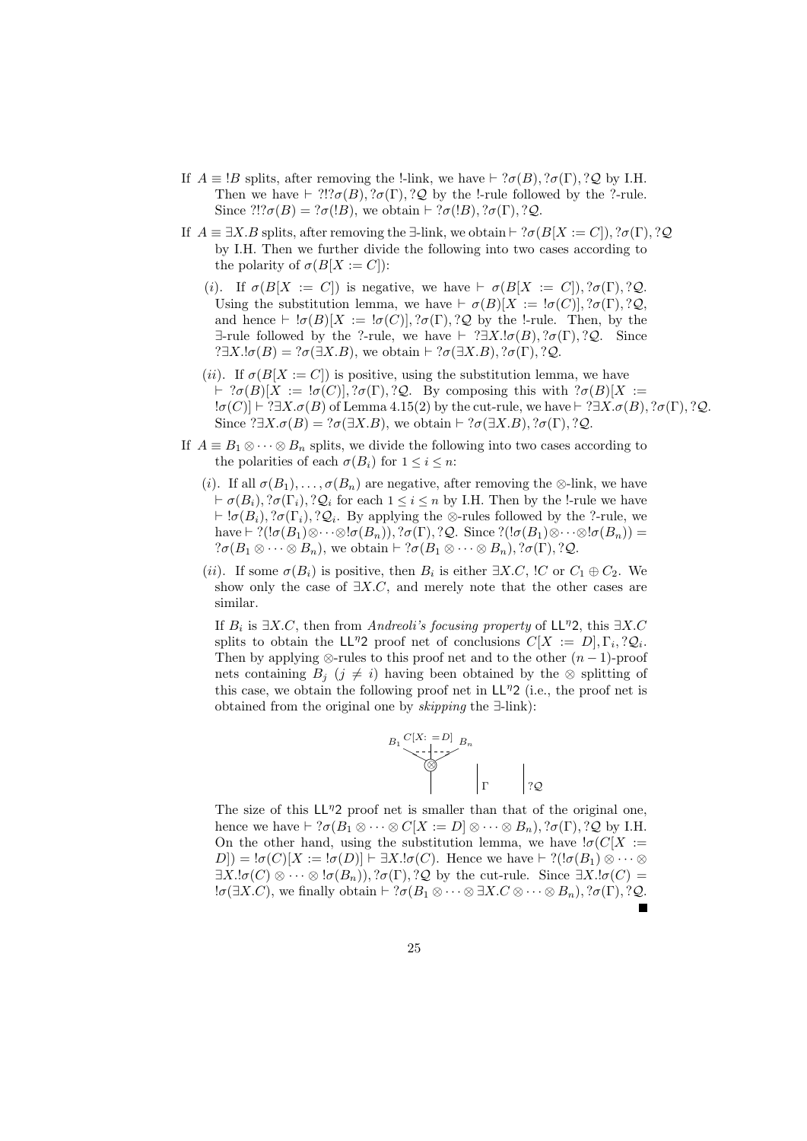- If  $A \equiv B$  splits, after removing the !-link, we have  $\vdash$  ? $\sigma(B)$ *,* ? $\sigma(\Gamma)$ *,* ? $\mathcal{Q}$  by I.H. Then we have  $\vdash$  ?!? $\sigma(B)$ *,* ? $\sigma(\Gamma)$ *,* ? $\mathcal{Q}$  by the !-rule followed by the ?-rule. Since  $?!\mathit{?}\sigma(B) = ?\sigma(!B)$ , we obtain  $\vdash ?\sigma(!B)$ ,  $? \sigma(\Gamma)$ , ?*Q*.
- If  $A \equiv \exists X.B$  splits, after removing the  $\exists$ -link, we obtain  $\vdash ?\sigma(B[X := C]), ?\sigma(\Gamma), ?\mathcal{Q}$ by I.H. Then we further divide the following into two cases according to the polarity of  $\sigma(B[X := C])$ :
	- (*i*). If  $\sigma(B[X := C])$  is negative, we have  $\vdash \sigma(B[X := C]), ?\sigma(\Gamma), ?\mathcal{Q}$ . Using the substitution lemma, we have  $\vdash \sigma(B)[X := \sigma(C)], ?\sigma(\Gamma), ?\mathcal{Q},$ and hence  $\vdash \exists \sigma(B)[X := \exists \sigma(C)], \exists \sigma(\Gamma), \exists \mathcal{Q}$  by the !-rule. Then, by the *∃*-rule followed by the ?-rule, we have *⊢* ?*∃X.*!*σ*(*B*)*,* ?*σ*(Γ)*,* ?*Q*. Since  $?$  $\exists X.\mathsf{I}\sigma(B) = ?\sigma(\exists X.B)$ *, we obtain*  $\vdash ?\sigma(\exists X.B), ?\sigma(\Gamma), ?\mathcal{Q}$ .
	- (*ii*). If  $\sigma(B[X := C])$  is positive, using the substitution lemma, we have *⊦*  $?σ(B)[X := ∞(C)], ?σ(Γ), ?Q$ . By composing this with  $?σ(B)[X :=$ !*σ*(*C*)] *⊢* ?*∃X.σ*(*B*) of Lemma 4.15(2) by the cut-rule, we have *⊢* ?*∃X.σ*(*B*)*,* ?*σ*(Γ)*,* ?*Q*. Since  $?$  $\exists X.\sigma(B) = ?\sigma(\exists X.B)$ *, we obtain*  $\vdash ?\sigma(\exists X.B), ?\sigma(\Gamma), ?$ *Q*.
- If  $A \equiv B_1 \otimes \cdots \otimes B_n$  splits, we divide the following into two cases according to the polarities of each  $\sigma(B_i)$  for  $1 \leq i \leq n$ :
	- (*i*). If all  $\sigma(B_1), \ldots, \sigma(B_n)$  are negative, after removing the  $\otimes$ -link, we have *⊦*  $\sigma(B_i)$ ,  $\partial(\Gamma_i)$ ,  $\partial(\Gamma_i)$  for each  $1 \leq i \leq n$  by I.H. Then by the !-rule we have *⊢* !*σ*(*Bi*)*,* ?*σ*(Γ*i*)*,* ?*Q<sup>i</sup>* . By applying the *⊗*-rules followed by the ?-rule, we have  $\vdash$  ?( $!\sigma(B_1)\otimes\cdots\otimes\sigma(B_n)$ )*,* ? $\sigma(\Gamma)$ *,* ? $\mathcal{Q}$ . Since ?( $!\sigma(B_1)\otimes\cdots\otimes\sigma(B_n)$ ) =  $? \sigma(B_1 \otimes \cdots \otimes B_n)$ , we obtain  $\vdash ?\sigma(B_1 \otimes \cdots \otimes B_n)$ ,  $? \sigma(\Gamma)$ ,  $?Q$ .
	- (*ii*). If some  $\sigma(B_i)$  is positive, then  $B_i$  is either  $\exists X.C$ ,  $\exists C$  or  $C_1 \oplus C_2$ . We show only the case of *∃X.C*, and merely note that the other cases are similar.

If *B<sup>i</sup>* is *∃X.C*, then from *Andreoli's focusing property* of LL*<sup>η</sup>*2, this *∃X.C* splits to obtain the LL<sup>η</sup>2 proof net of conclusions  $C[X := D], \Gamma_i, ?\mathcal{Q}_i$ . Then by applying  $\otimes$ -rules to this proof net and to the other  $(n-1)$ -proof nets containing  $B_j$  ( $j \neq i$ ) having been obtained by the  $\otimes$  splitting of this case, we obtain the following proof net in LL*<sup>η</sup>*2 (i.e., the proof net is obtained from the original one by *skipping* the *∃*-link):



The size of this  $LL^{\eta}2$  proof net is smaller than that of the original one, hence we have  $\vdash$  ? $\sigma(B_1 \otimes \cdots \otimes C[X := D] \otimes \cdots \otimes B_n)$ , ? $\sigma(\Gamma)$ , ? $\mathcal{Q}$  by I.H. On the other hand, using the substitution lemma, we have  $\sigma(C[X])$  $D$ ]) =  $\sigma(C)[X := \sigma(D)] \vdash \exists X.\sigma(C)$ . Hence we have  $\vdash ?(\sigma(B_1) \otimes \cdots \otimes \sigma(C_n)$  $\exists X.\mathsf{I}\sigma(C) \otimes \cdots \otimes \mathsf{I}\sigma(B_n)$ ,  $\partial(\Gamma), \partial(\Gamma)$  by the cut-rule. Since  $\exists X.\mathsf{I}\sigma(C) =$ !*σ*(*∃X.C*), we finally obtain *⊢* ?*σ*(*B*<sup>1</sup> *⊗ · · · ⊗ ∃X.C ⊗ · · · ⊗ Bn*)*,* ?*σ*(Γ)*,* ?*Q*.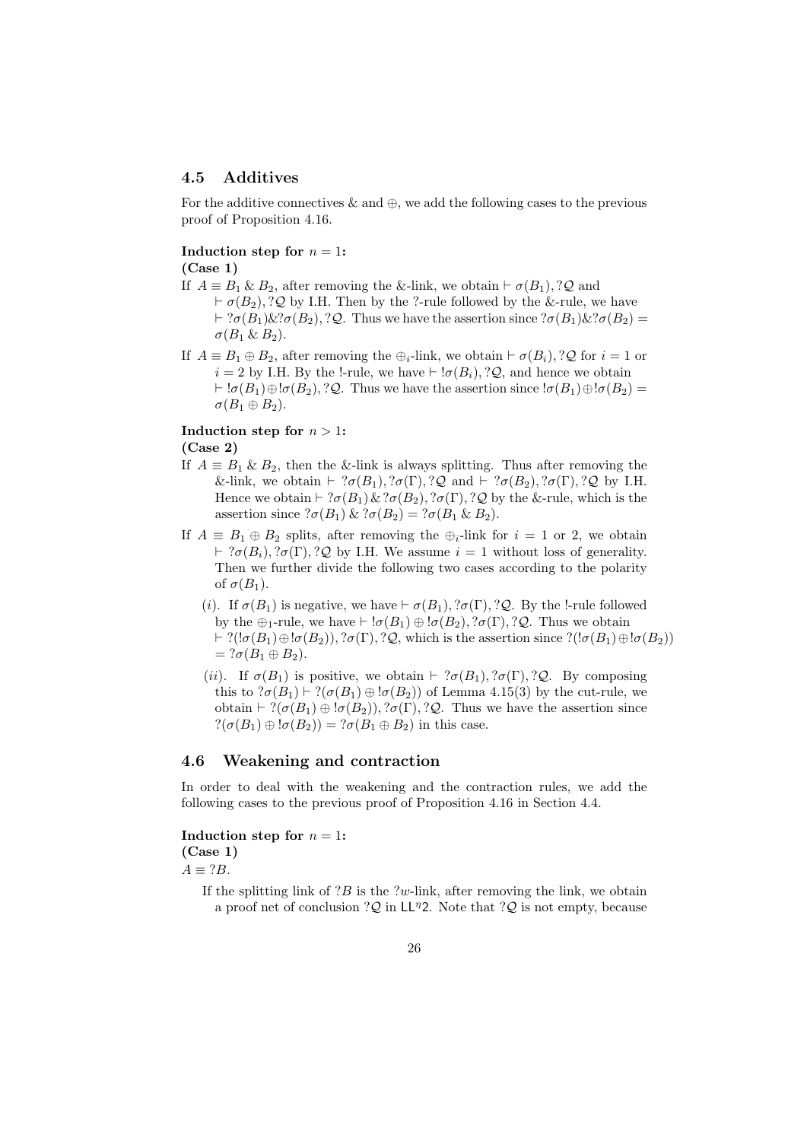## **4.5 Additives**

For the additive connectives & and *⊕*, we add the following cases to the previous proof of Proposition 4.16.

### **Induction step for**  $n = 1$ : **(Case 1)**

- 
- If  $A \equiv B_1 \& B_2$ , after removing the &-link, we obtain  $\vdash \sigma(B_1)$ , ?*Q* and  $\vdash \sigma(B_2)$ , ?*Q* by I.H. Then by the ?-rule followed by the &-rule, we have

*⊦* ?*σ*(*B*<sub>1</sub>)&?*σ*(*B*<sub>2</sub>),?*Q*. Thus we have the assertion since ?*σ*(*B*<sub>1</sub>)&?*σ*(*B*<sub>2</sub>) =  $\sigma(B_1 \& B_2)$ .

If  $A \equiv B_1 \oplus B_2$ , after removing the  $\bigoplus_i$ -link, we obtain  $\vdash \sigma(B_i)$ , ?*Q* for  $i = 1$  or  $i = 2$  by I.H. By the !-rule, we have  $\vdash !\sigma(B_i), ?\mathcal{Q}$ , and hence we obtain *⊦*  $!\sigma(B_1)\oplus\sigma(B_2), ?$ *Q*. Thus we have the assertion since  $!\sigma(B_1)\oplus\sigma(B_2) =$  $\sigma(B_1 \oplus B_2)$ .

**Induction step for**  $n > 1$ :

**(Case 2)**

- If  $A \equiv B_1 \& B_2$ , then the &-link is always splitting. Thus after removing the &-link, we obtain  $\vdash ?\sigma(B_1), ?\sigma(\Gamma), ?\mathcal{Q}$  and  $\vdash ?\sigma(B_2), ?\sigma(\Gamma), ?\mathcal{Q}$  by I.H. Hence we obtain  $\vdash$  ?*σ*(*B*<sub>1</sub>) & ?*σ*(*B*<sub>2</sub>), ?*σ*(Γ), ?*Q* by the &-rule, which is the assertion since  $? \sigma(B_1) \& ? \sigma(B_2) = ? \sigma(B_1 \& B_2).$
- If  $A \equiv B_1 \oplus B_2$  splits, after removing the  $\bigoplus_i$ -link for  $i = 1$  or 2, we obtain *⊦* ? $\sigma(B_i)$ , ? $\sigma(\Gamma)$ , ? $\mathcal{Q}$  by I.H. We assume *i* = 1 without loss of generality. Then we further divide the following two cases according to the polarity of  $\sigma(B_1)$ .
	- (*i*). If  $\sigma(B_1)$  is negative, we have  $\vdash \sigma(B_1), ?\sigma(\Gamma), ?\mathcal{Q}$ . By the !-rule followed by the  $\oplus_1$ -rule, we have  $\vdash \text{!}\sigma(B_1) \oplus \text{!}\sigma(B_2), ?\sigma(\Gamma), ?\mathcal{Q}$ . Thus we obtain *⊦* ?( $\exists \sigma(B_1) ⊕ \exists \sigma(B_2)$ ), ? $\sigma(\Gamma)$ , ?*Q*, which is the assertion since ?( $\exists \sigma(B_1) ⊕ \exists \sigma(B_2)$ )  $=$  ?*σ*(*B*<sub>1</sub>  $\oplus$  *B*<sub>2</sub>).
	- (*ii*). If  $\sigma(B_1)$  is positive, we obtain  $\vdash ?\sigma(B_1), ?\sigma(\Gamma), ?\mathcal{Q}$ . By composing this to  $? \sigma(B_1) \vdash ?(\sigma(B_1) \oplus \sigma(B_2))$  of Lemma 4.15(3) by the cut-rule, we obtain  $\vdash$  ?( $\sigma(B_1) \oplus \vdash \sigma(B_2)$ ), ? $\sigma(\Gamma)$ , ?*Q*. Thus we have the assertion since  $?(\sigma(B_1) \oplus \sigma(B_2)) = ?\sigma(B_1 \oplus B_2)$  in this case.

## **4.6 Weakening and contraction**

In order to deal with the weakening and the contraction rules, we add the following cases to the previous proof of Proposition 4.16 in Section 4.4.

**Induction step for**  $n = 1$ : **(Case 1)**

 $A \equiv ?B$ .

If the splitting link of ?*B* is the ?*w*-link, after removing the link, we obtain a proof net of conclusion ?*Q* in LL*<sup>η</sup>*2. Note that ?*Q* is not empty, because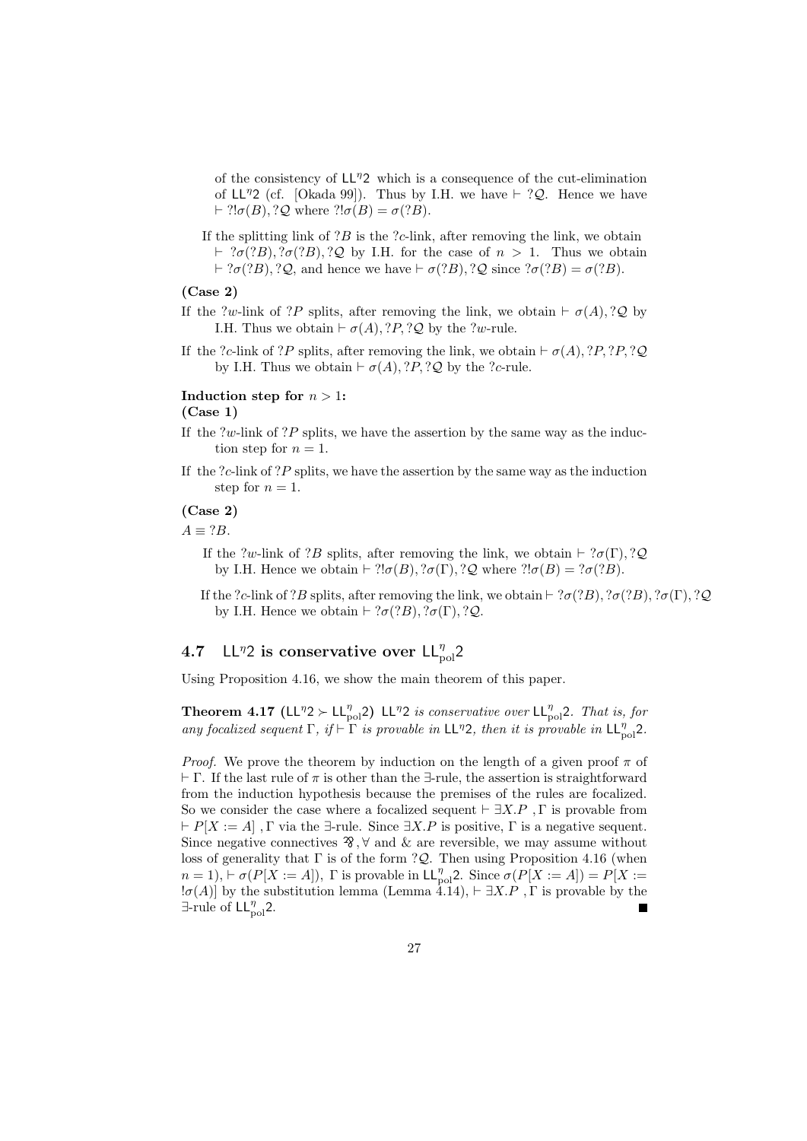of the consistency of LL*<sup>η</sup>*2 which is a consequence of the cut-elimination of LL*<sup>η</sup>*2 (cf. [Okada 99]). Thus by I.H. we have *⊢* ?*Q*. Hence we have *⊦* ?! $\sigma(B)$ , ? $\mathcal{Q}$  where ?! $\sigma(B) = \sigma(?B)$ .

If the splitting link of ?*B* is the ?*c*-link, after removing the link, we obtain *⊦* $?$ *σ* $(?$ *B* $)$ *,* $?$ *σ* $(?$ *B* $)$ *,* $?$ *Q* $by I.H. for the case of$ *n* $> 1. Thus we obtain$ *⊦* ? $\sigma$ (?*B*)*,* ?*Q*, and hence we have  $\nvdash \sigma$ (?*B*)*,* ?*Q* since ? $\sigma$ (?*B*) =  $\sigma$ (?*B*).

## **(Case 2)**

- If the ?*w*-link of ?*P* splits, after removing the link, we obtain  $\vdash \sigma(A), ?Q$  by I.H. Thus we obtain  $\vdash \sigma(A), ?P, ?Q$  by the ?*w*-rule.
- If the ?*c*-link of ?*P* splits, after removing the link, we obtain  $\vdash \sigma(A), ?P, ?P, ?Q$ by I.H. Thus we obtain  $\vdash \sigma(A), ?P, ?Q$  by the ?*c*-rule.

#### **Induction step for**  $n > 1$ :

#### **(Case 1)**

- If the ?*w*-link of ?*P* splits, we have the assertion by the same way as the induction step for  $n = 1$ .
- If the ?*c*-link of ?*P* splits, we have the assertion by the same way as the induction step for  $n = 1$ .

## **(Case 2)**

 $A \equiv ?B$ .

- If the ?*w*-link of ?*B* splits, after removing the link, we obtain  $\vdash$  ?*σ*(Γ)*,* ?*Q* by I.H. Hence we obtain  $\vdash$  ?! $\sigma(B)$ *,* ? $\sigma(\Gamma)$ *,* ? $\mathcal{Q}$  where ?! $\sigma(B) = ?\sigma(?B)$ .
- If the ?*c*-link of ?*B* splits, after removing the link, we obtain  $\vdash$  ?*σ*(?*B*)*,* ?*σ*( $\Gamma$ *)*, ?*Q*( $\Gamma$ )*,* ?*Q* by I.H. Hence we obtain  $\vdash$  ?*σ*(?*B*)*,* ?*σ*(Γ)*,* ?*Q*.

# **4.7** LL<sup>η</sup>2 is conservative over LL<sub>pol</sub><sup>2</sup>

Using Proposition 4.16, we show the main theorem of this paper.

**Theorem 4.17 (LL<sup>η</sup>2** *≻* **LL<sub>pol</sub><sup>n</sup>) LL<sup>η</sup>2** *is conservative over* **LL<sub>pol</sub><sup>n</sup>,** *That is, for any focalized sequent*  $\Gamma$ *, if*  $\vdash \Gamma$  *is provable in* LL<sup>*n*</sup><sub>2</sub>*, then it is provable in* LL $_{pol}^{\eta}$ <sub>2</sub>*.* 

*Proof.* We prove the theorem by induction on the length of a given proof  $\pi$  of *⊢* Γ. If the last rule of *π* is other than the *∃*-rule, the assertion is straightforward from the induction hypothesis because the premises of the rules are focalized. So we consider the case where a focalized sequent *⊢ ∃X.P ,* Γ is provable from *⊢ P*[*X* := *A*] *,* Γ via the *∃*-rule. Since *∃X.P* is positive, Γ is a negative sequent. Since negative connectives  $\mathcal{F}, \forall$  and  $\&$  are reversible, we may assume without loss of generality that Γ is of the form ?*Q*. Then using Proposition 4.16 (when *n* = 1),  $\vdash \sigma(P[X := A])$ ,  $\Gamma$  is provable in  $\mathsf{LL}_{pol}^{\eta}$ 2. Since  $\sigma(P[X := A]) = P[X := A]$ !*σ*(*A*)] by the substitution lemma (Lemma 4.14), *⊢ ∃X.P ,* Γ is provable by the *∃*-rule of LL*<sup>η</sup>* pol2.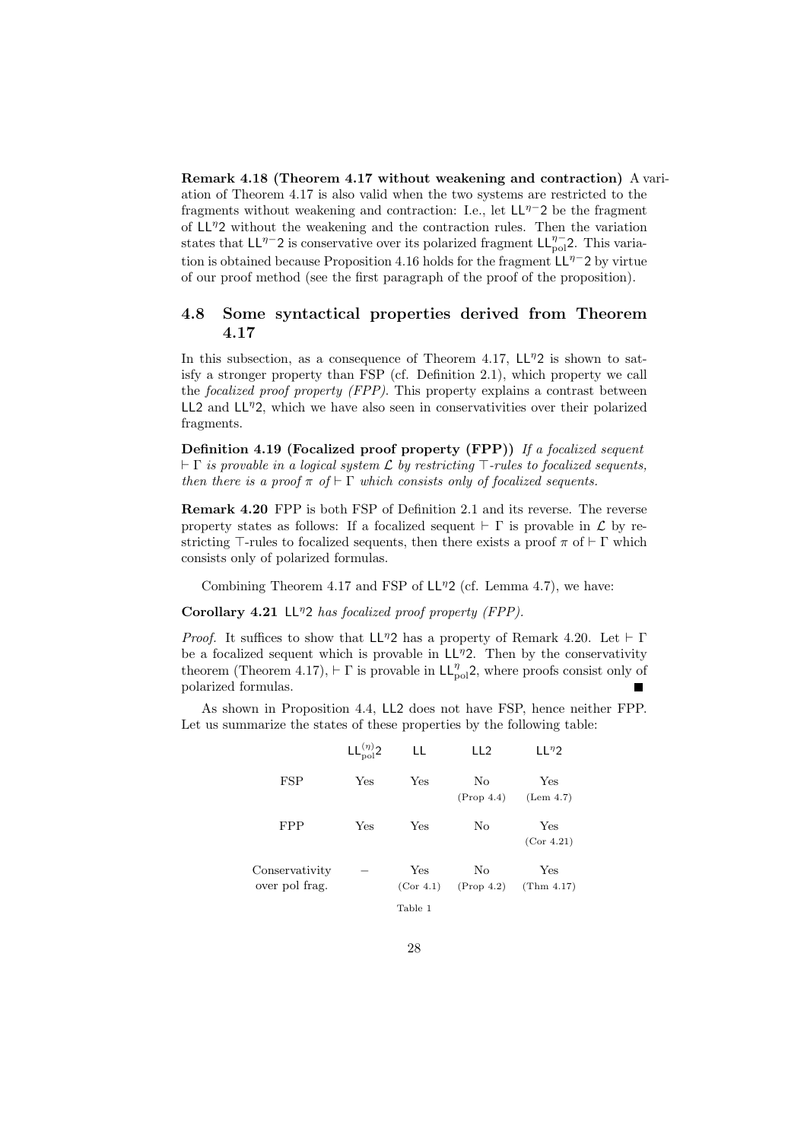**Remark 4.18 (Theorem 4.17 without weakening and contraction)** A variation of Theorem 4.17 is also valid when the two systems are restricted to the fragments without weakening and contraction: I.e., let LL*<sup>η</sup>−*2 be the fragment of LL*<sup>η</sup>*2 without the weakening and the contraction rules. Then the variation states that LL<sup>*n*</sup><sup>−</sup>2 is conservative over its polarized fragment LL<sup>*n*</sup><sup>−</sup><sub>pol</sub><sup>2</sup>. This variation is obtained because Proposition 4.16 holds for the fragment LL*<sup>η</sup>−*2 by virtue of our proof method (see the first paragraph of the proof of the proposition).

# **4.8 Some syntactical properties derived from Theorem 4.17**

In this subsection, as a consequence of Theorem 4.17,  $LL<sup>7</sup>2$  is shown to satisfy a stronger property than FSP (cf. Definition 2.1), which property we call the *focalized proof property (FPP)*. This property explains a contrast between LL2 and LL<sup>η</sup>2, which we have also seen in conservativities over their polarized fragments.

**Definition 4.19 (Focalized proof property (FPP))** *If a focalized sequent ⊢* Γ *is provable in a logical system L by restricting ⊤-rules to focalized sequents, then there is a proof*  $\pi$  *of*  $\vdash \Gamma$  *which consists only of focalized sequents.* 

**Remark 4.20** FPP is both FSP of Definition 2.1 and its reverse. The reverse property states as follows: If a focalized sequent  $\vdash \Gamma$  is provable in  $\mathcal L$  by restricting  $\top$ -rules to focalized sequents, then there exists a proof  $\pi$  of  $\vdash \Gamma$  which consists only of polarized formulas.

Combining Theorem 4.17 and FSP of LL*<sup>η</sup>*2 (cf. Lemma 4.7), we have:

**Corollary 4.21** LL*<sup>η</sup>*2 *has focalized proof property (FPP).*

*Proof.* It suffices to show that LL<sup>η</sup>2 has a property of Remark 4.20. Let *⊦* Γ be a focalized sequent which is provable in LL*<sup>η</sup>*2. Then by the conservativity theorem (Theorem 4.17),  $\vdash \Gamma$  is provable in  $\mathsf{LL}_{pol}^{\eta}$ <sup>2</sup>, where proofs consist only of polarized formulas.

As shown in Proposition 4.4, LL2 does not have FSP, hence neither FPP. Let us summarize the states of these properties by the following table:

|                                  | $LL^{(\eta)}$ ? | LL               | LL <sub>2</sub>  | $LL^{\eta}2$      |
|----------------------------------|-----------------|------------------|------------------|-------------------|
| <b>FSP</b>                       | Yes             | Yes              | No<br>(Prop 4.4) | Yes<br>(Lem 4.7)  |
| <b>FPP</b>                       | Yes             | Yes              | No               | Yes<br>(Cor 4.21) |
| Conservativity<br>over pol frag. |                 | Yes<br>(Cor 4.1) | No<br>(Prop 4.2) | Yes<br>(Thm 4.17) |
|                                  |                 | Table 1          |                  |                   |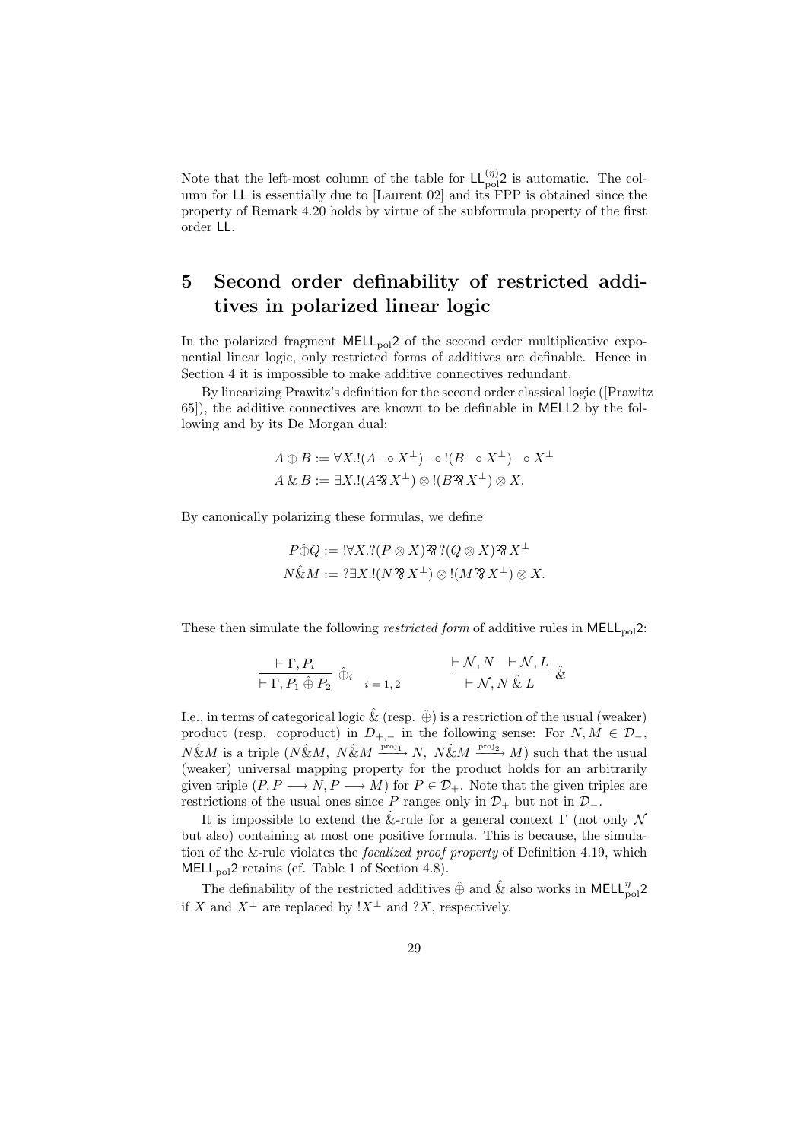Note that the left-most column of the table for  $LL_{pol}^{(\eta)}$  is automatic. The column for LL is essentially due to [Laurent 02] and its FPP is obtained since the property of Remark 4.20 holds by virtue of the subformula property of the first order LL.

# **5 Second order definability of restricted additives in polarized linear logic**

In the polarized fragment MELL<sub>pol</sub>2 of the second order multiplicative exponential linear logic, only restricted forms of additives are definable. Hence in Section 4 it is impossible to make additive connectives redundant.

By linearizing Prawitz's definition for the second order classical logic ([Prawitz 65]), the additive connectives are known to be definable in MELL2 by the following and by its De Morgan dual:

$$
A \oplus B := \forall X.!(A \neg X^{\perp}) \neg \circ [(B \neg X^{\perp}) \neg \circ X^{\perp}
$$
  

$$
A \& B := \exists X.!(A \mathscr{B} X^{\perp}) \otimes [(B \mathscr{B} X^{\perp}) \otimes X.
$$

By canonically polarizing these formulas, we define

*P⊕*ˆ*Q* := !*∀X.*?(*P ⊗ X*) ..... .. ... ..... ?(*Q ⊗ X*) ..... .. ... ..... *X<sup>⊥</sup> N*&ˆ*M* := ?*∃X.*!(*N* ..... .. ... ..... *X⊥*) *⊗* !(*M* ..... .. ... ..... *X⊥*) *⊗ X.*

These then simulate the following *restricted form* of additive rules in MELL<sub>pol</sub>2:

$$
\frac{\vdash \Gamma, P_i}{\vdash \Gamma, P_1 \oplus P_2} \hat{\oplus}_i \quad i = 1, 2 \qquad \frac{\vdash \mathcal{N}, N \quad \vdash \mathcal{N}, L}{\vdash \mathcal{N}, N \ \& L} \ \&
$$

I.e., in terms of categorical logic  $\&$  (resp.  $\oplus$ ) is a restriction of the usual (weaker) product (resp. coproduct) in  $D_{+,-}$  in the following sense: For  $N, M \in \mathcal{D}_{-},$  $N\hat{\&}M$  is a triple  $(N\hat{\&}M, N\hat{\&}M \xrightarrow{\text{proj}_1} N, N\hat{\&}M \xrightarrow{\text{proj}_2} M)$  such that the usual (weaker) universal mapping property for the product holds for an arbitrarily given triple  $(P, P \longrightarrow N, P \longrightarrow M)$  for  $P \in \mathcal{D}_+$ . Note that the given triples are restrictions of the usual ones since *P* ranges only in  $\mathcal{D}_+$  but not in  $\mathcal{D}_-$ .

It is impossible to extend the  $\&$ -rule for a general context  $\Gamma$  (not only  $\mathcal N$ but also) containing at most one positive formula. This is because, the simulation of the &-rule violates the *focalized proof property* of Definition 4.19, which MELL<sub>pol</sub>2 retains (cf. Table 1 of Section 4.8).

The definability of the restricted additives  $\hat{\oplus}$  and  $\hat{\&}$  also works in <code>MELL<sup>*n*</sup><sub>pol</sub><sup>2</sup></code> if *X* and  $X^{\perp}$  are replaced by  $\cdot X^{\perp}$  and  $\cdot X$ , respectively.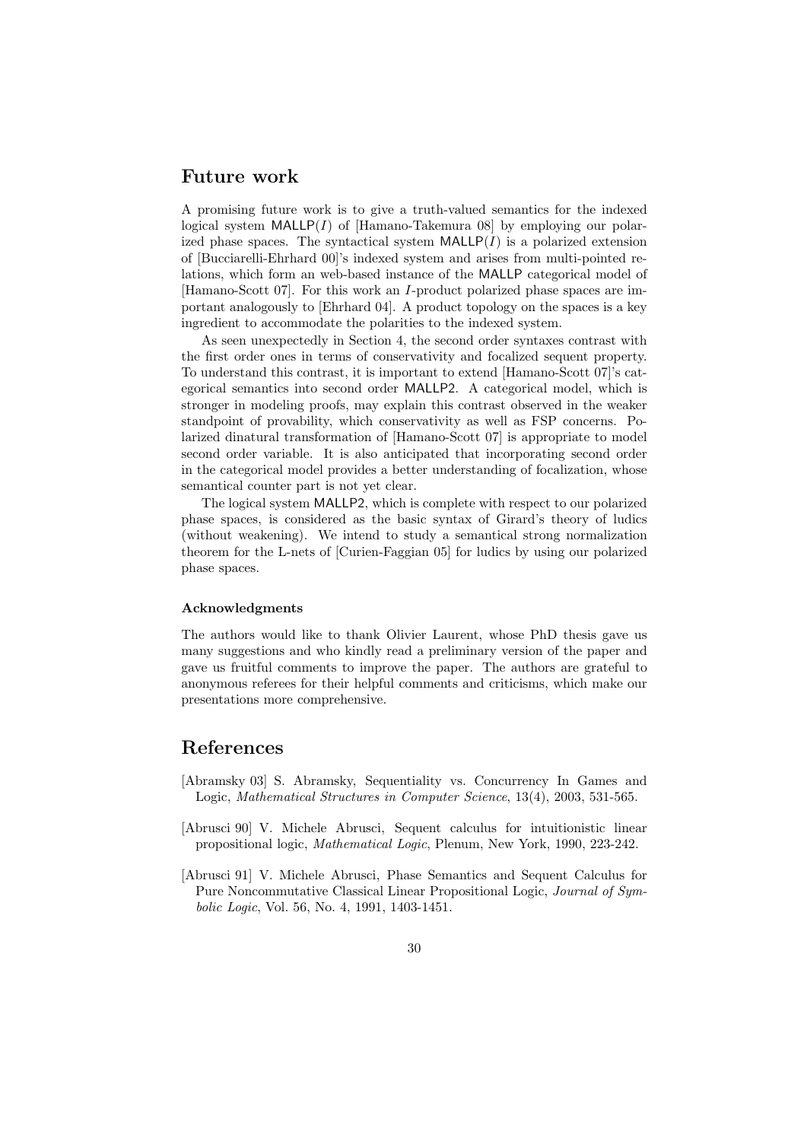# **Future work**

A promising future work is to give a truth-valued semantics for the indexed logical system MALLP(*I*) of [Hamano-Takemura 08] by employing our polarized phase spaces. The syntactical system  $\text{MALLP}(I)$  is a polarized extension of [Bucciarelli-Ehrhard 00]'s indexed system and arises from multi-pointed relations, which form an web-based instance of the MALLP categorical model of [Hamano-Scott 07]. For this work an *I*-product polarized phase spaces are important analogously to [Ehrhard 04]. A product topology on the spaces is a key ingredient to accommodate the polarities to the indexed system.

As seen unexpectedly in Section 4, the second order syntaxes contrast with the first order ones in terms of conservativity and focalized sequent property. To understand this contrast, it is important to extend [Hamano-Scott 07]'s categorical semantics into second order MALLP2. A categorical model, which is stronger in modeling proofs, may explain this contrast observed in the weaker standpoint of provability, which conservativity as well as FSP concerns. Polarized dinatural transformation of [Hamano-Scott 07] is appropriate to model second order variable. It is also anticipated that incorporating second order in the categorical model provides a better understanding of focalization, whose semantical counter part is not yet clear.

The logical system MALLP2, which is complete with respect to our polarized phase spaces, is considered as the basic syntax of Girard's theory of ludics (without weakening). We intend to study a semantical strong normalization theorem for the L-nets of [Curien-Faggian 05] for ludics by using our polarized phase spaces.

#### **Acknowledgments**

The authors would like to thank Olivier Laurent, whose PhD thesis gave us many suggestions and who kindly read a preliminary version of the paper and gave us fruitful comments to improve the paper. The authors are grateful to anonymous referees for their helpful comments and criticisms, which make our presentations more comprehensive.

# **References**

- [Abramsky 03] S. Abramsky, Sequentiality vs. Concurrency In Games and Logic, *Mathematical Structures in Computer Science*, 13(4), 2003, 531-565.
- [Abrusci 90] V. Michele Abrusci, Sequent calculus for intuitionistic linear propositional logic, *Mathematical Logic*, Plenum, New York, 1990, 223-242.
- [Abrusci 91] V. Michele Abrusci, Phase Semantics and Sequent Calculus for Pure Noncommutative Classical Linear Propositional Logic, *Journal of Symbolic Logic*, Vol. 56, No. 4, 1991, 1403-1451.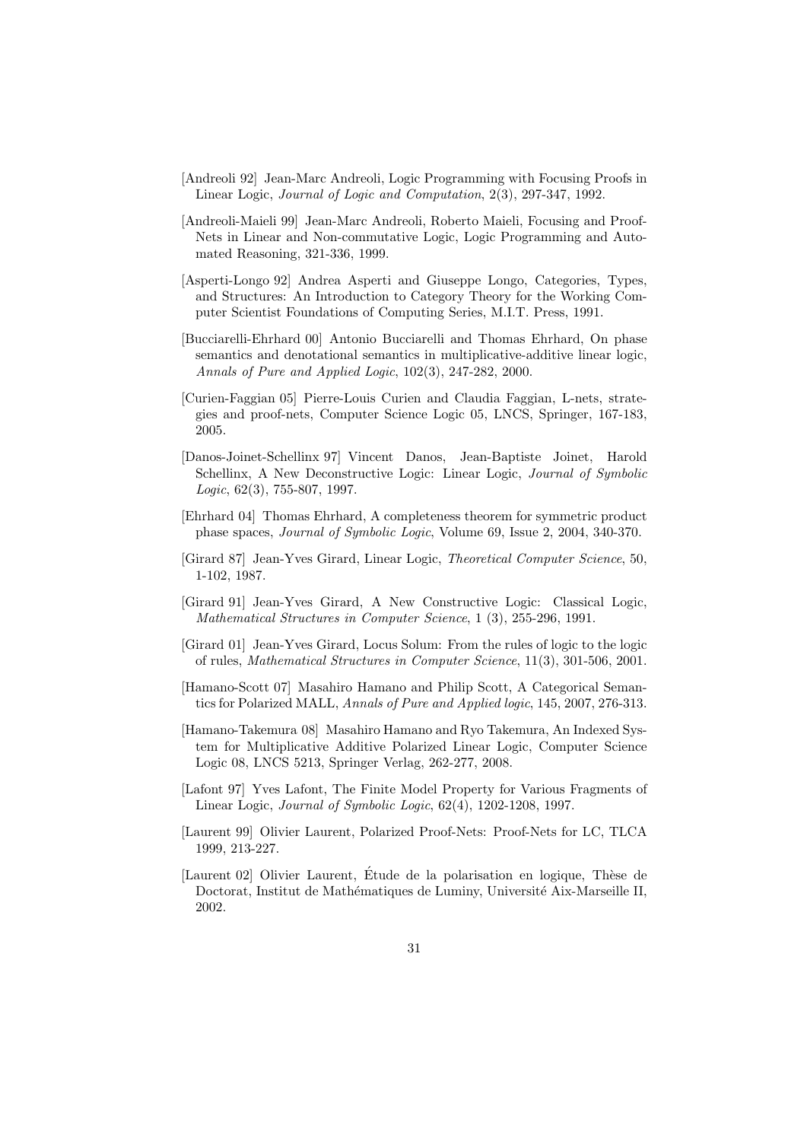- [Andreoli 92] Jean-Marc Andreoli, Logic Programming with Focusing Proofs in Linear Logic, *Journal of Logic and Computation*, 2(3), 297-347, 1992.
- [Andreoli-Maieli 99] Jean-Marc Andreoli, Roberto Maieli, Focusing and Proof-Nets in Linear and Non-commutative Logic, Logic Programming and Automated Reasoning, 321-336, 1999.
- [Asperti-Longo 92] Andrea Asperti and Giuseppe Longo, Categories, Types, and Structures: An Introduction to Category Theory for the Working Computer Scientist Foundations of Computing Series, M.I.T. Press, 1991.
- [Bucciarelli-Ehrhard 00] Antonio Bucciarelli and Thomas Ehrhard, On phase semantics and denotational semantics in multiplicative-additive linear logic, *Annals of Pure and Applied Logic*, 102(3), 247-282, 2000.
- [Curien-Faggian 05] Pierre-Louis Curien and Claudia Faggian, L-nets, strategies and proof-nets, Computer Science Logic 05, LNCS, Springer, 167-183, 2005.
- [Danos-Joinet-Schellinx 97] Vincent Danos, Jean-Baptiste Joinet, Harold Schellinx, A New Deconstructive Logic: Linear Logic, *Journal of Symbolic Logic*, 62(3), 755-807, 1997.
- [Ehrhard 04] Thomas Ehrhard, A completeness theorem for symmetric product phase spaces, *Journal of Symbolic Logic*, Volume 69, Issue 2, 2004, 340-370.
- [Girard 87] Jean-Yves Girard, Linear Logic, *Theoretical Computer Science*, 50, 1-102, 1987.
- [Girard 91] Jean-Yves Girard, A New Constructive Logic: Classical Logic, *Mathematical Structures in Computer Science*, 1 (3), 255-296, 1991.
- [Girard 01] Jean-Yves Girard, Locus Solum: From the rules of logic to the logic of rules, *Mathematical Structures in Computer Science*, 11(3), 301-506, 2001.
- [Hamano-Scott 07] Masahiro Hamano and Philip Scott, A Categorical Semantics for Polarized MALL, *Annals of Pure and Applied logic*, 145, 2007, 276-313.
- [Hamano-Takemura 08] Masahiro Hamano and Ryo Takemura, An Indexed System for Multiplicative Additive Polarized Linear Logic, Computer Science Logic 08, LNCS 5213, Springer Verlag, 262-277, 2008.
- [Lafont 97] Yves Lafont, The Finite Model Property for Various Fragments of Linear Logic, *Journal of Symbolic Logic*, 62(4), 1202-1208, 1997.
- [Laurent 99] Olivier Laurent, Polarized Proof-Nets: Proof-Nets for LC, TLCA 1999, 213-227.
- [Laurent 02] Olivier Laurent, Étude de la polarisation en logique, Thèse de Doctorat, Institut de Mathématiques de Luminy, Université Aix-Marseille II, 2002.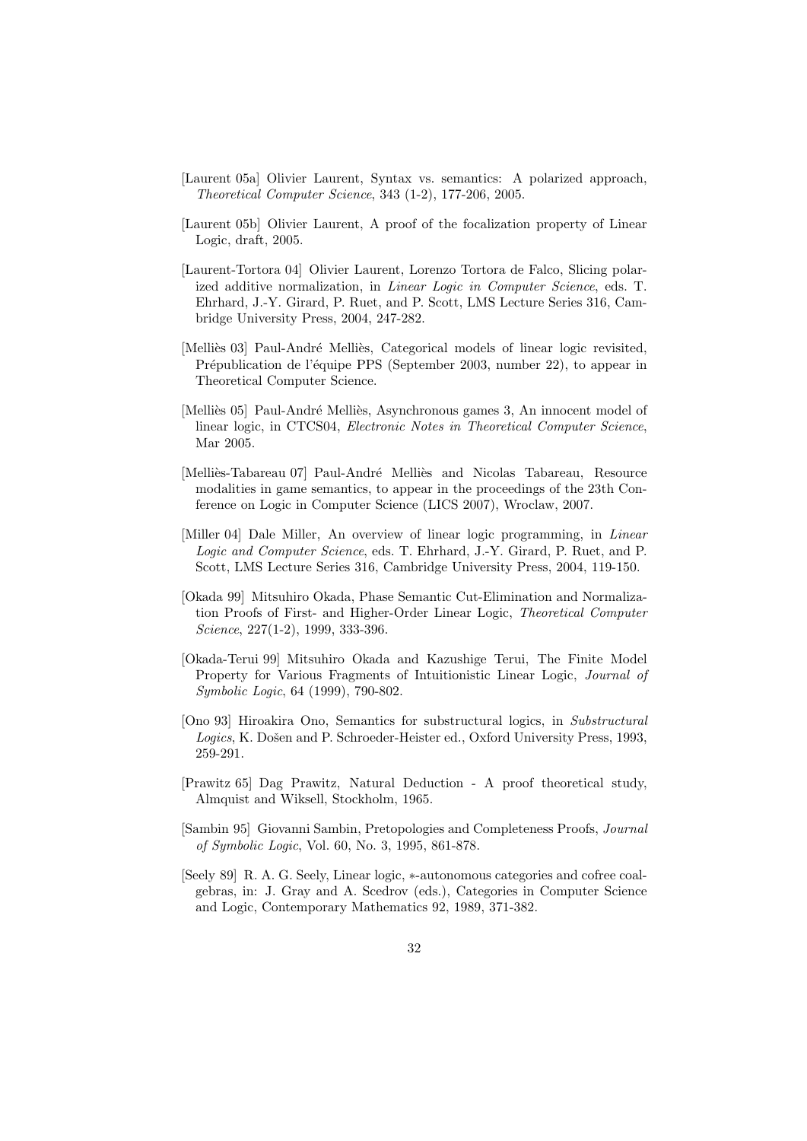- [Laurent 05a] Olivier Laurent, Syntax vs. semantics: A polarized approach, *Theoretical Computer Science*, 343 (1-2), 177-206, 2005.
- [Laurent 05b] Olivier Laurent, A proof of the focalization property of Linear Logic, draft, 2005.
- [Laurent-Tortora 04] Olivier Laurent, Lorenzo Tortora de Falco, Slicing polarized additive normalization, in *Linear Logic in Computer Science*, eds. T. Ehrhard, J.-Y. Girard, P. Ruet, and P. Scott, LMS Lecture Series 316, Cambridge University Press, 2004, 247-282.
- [Melliès 03] Paul-André Melliès, Categorical models of linear logic revisited, Prépublication de l'équipe PPS (September 2003, number 22), to appear in Theoretical Computer Science.
- [Melliès 05] Paul-André Melliès, Asynchronous games 3, An innocent model of linear logic, in CTCS04, *Electronic Notes in Theoretical Computer Science*, Mar 2005.
- [Melliès-Tabareau 07] Paul-André Melliès and Nicolas Tabareau, Resource modalities in game semantics, to appear in the proceedings of the 23th Conference on Logic in Computer Science (LICS 2007), Wroclaw, 2007.
- [Miller 04] Dale Miller, An overview of linear logic programming, in *Linear Logic and Computer Science*, eds. T. Ehrhard, J.-Y. Girard, P. Ruet, and P. Scott, LMS Lecture Series 316, Cambridge University Press, 2004, 119-150.
- [Okada 99] Mitsuhiro Okada, Phase Semantic Cut-Elimination and Normalization Proofs of First- and Higher-Order Linear Logic, *Theoretical Computer Science*, 227(1-2), 1999, 333-396.
- [Okada-Terui 99] Mitsuhiro Okada and Kazushige Terui, The Finite Model Property for Various Fragments of Intuitionistic Linear Logic, *Journal of Symbolic Logic*, 64 (1999), 790-802.
- [Ono 93] Hiroakira Ono, Semantics for substructural logics, in *Substructural* Logics, K. Došen and P. Schroeder-Heister ed., Oxford University Press, 1993. 259-291.
- [Prawitz 65] Dag Prawitz, Natural Deduction A proof theoretical study, Almquist and Wiksell, Stockholm, 1965.
- [Sambin 95] Giovanni Sambin, Pretopologies and Completeness Proofs, *Journal of Symbolic Logic*, Vol. 60, No. 3, 1995, 861-878.
- [Seely 89] R. A. G. Seely, Linear logic, *∗*-autonomous categories and cofree coalgebras, in: J. Gray and A. Scedrov (eds.), Categories in Computer Science and Logic, Contemporary Mathematics 92, 1989, 371-382.